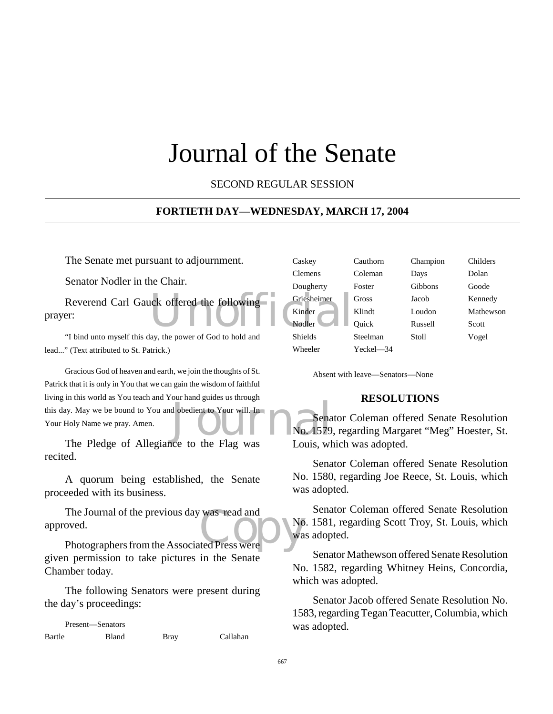# Journal of the Senate

SECOND REGULAR SESSION

### **FORTIETH DAY—WEDNESDAY, MARCH 17, 2004**

The Senate met pursuant to adjournment.

Senator Nodler in the Chair.

Reverend Carl Gauck offered the following<br>
Prince Carl Gauck offered the following<br>
Wolfer prayer:

"I bind unto myself this day, the power of God to hold and lead..." (Text attributed to St. Patrick.)

d obedient to Your will. In<br>No. 1579 Gracious God of heaven and earth, we join the thoughts of St. Patrick that it is only in You that we can gain the wisdom of faithful living in this world as You teach and Your hand guides us through this day. May we be bound to You and obedient to Your will. In Your Holy Name we pray. Amen.

The Pledge of Allegiance to the Flag was recited.

A quorum being established, the Senate proceeded with its business.

The Journal of the previous day was read and<br>
oved.<br>
Photographers from the Associated Press were The Journal of the previous day was read and approved.

given permission to take pictures in the Senate Chamber today.

The following Senators were present during the day's proceedings:

Present—Senators Bartle Bland Bray Callahan

| Caskey         | Cauthorn  | Champion | Childers  |
|----------------|-----------|----------|-----------|
| Clemens        | Coleman   | Days     | Dolan     |
| Dougherty      | Foster    | Gibbons  | Goode     |
| Griesheimer    | Gross     | Jacob    | Kennedy   |
| Kinder         | Klindt    | Loudon   | Mathewson |
| Nodler         | Ouick     | Russell  | Scott     |
| <b>Shields</b> | Steelman  | Stoll    | Vogel     |
| Wheeler        | Yeckel—34 |          |           |
|                |           |          |           |

Absent with leave—Senators—None

### **RESOLUTIONS**

Senator Coleman offered Senate Resolution No. 1579, regarding Margaret "Meg" Hoester, St. Louis, which was adopted.

Senator Coleman offered Senate Resolution No. 1580, regarding Joe Reece, St. Louis, which was adopted.

Senator Coleman offered Senate Resolution No. 1581, regarding Scott Troy, St. Louis, which was adopted.

Senator Mathewson offered Senate Resolution No. 1582, regarding Whitney Heins, Concordia, which was adopted.

Senator Jacob offered Senate Resolution No. 1583, regarding Tegan Teacutter, Columbia, which was adopted.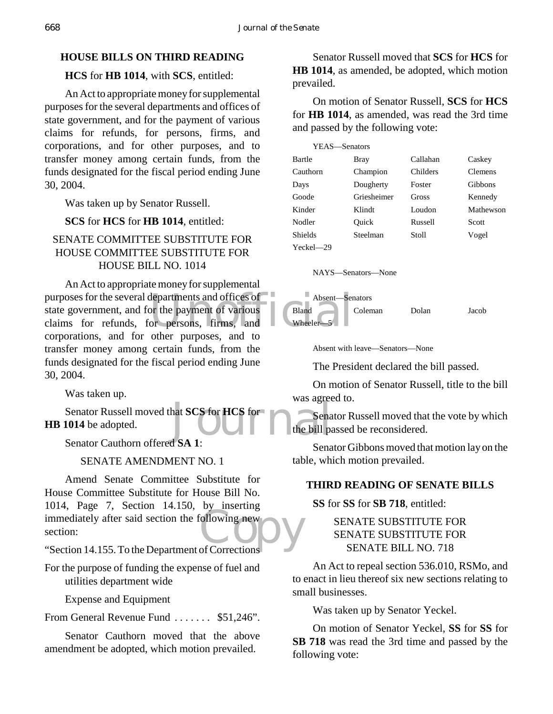# **HOUSE BILLS ON THIRD READING**

# **HCS** for **HB** 1014, with **SCS**, entitled:

An Act to appropriate money for supplemental purposes for the several departments and offices of state government, and for the payment of various claims for refunds, for persons, firms, and corporations, and for other purposes, and to transfer money among certain funds, from the funds designated for the fiscal period ending June 30, 2004.

Was taken up by Senator Russell.

### **SCS** for **HCS** for **HB 1014**, entitled:

# SENATE COMMITTEE SUBSTITUTE FOR HOUSE COMMITTEE SUBSTITUTE FOR HOUSE BILL NO. 1014

purposes for the several departments and offices of<br>
state government, and for the payment of various<br>
claims for refunds, for persons, firms, and Wheeler-5 An Act to appropriate money for supplemental state government, and for the payment of various claims for refunds, for persons, firms, and corporations, and for other purposes, and to transfer money among certain funds, from the funds designated for the fiscal period ending June 30, 2004.

Was taken up.

hat SCS for HCS for<br>the bill party of the bill party of the bill party. Senator Russell moved that **SCS** for **HCS** for **HB 1014** be adopted.

Senator Cauthorn offered **SA 1**:

# SENATE AMENDMENT NO. 1

Form, Fage 7, Section 11.155, by Inserting<br>
immediately after said section the following new<br>
"Section 14.155. To the Department of Corrections Amend Senate Committee Substitute for House Committee Substitute for House Bill No. 1014, Page 7, Section 14.150, by inserting section:

"Section 14.155. To the Department of Corrections

For the purpose of funding the expense of fuel and utilities department wide

Expense and Equipment

From General Revenue Fund . . . . . . . \$51,246".

Senator Cauthorn moved that the above amendment be adopted, which motion prevailed.

Senator Russell moved that **SCS** for **HCS** for **HB 1014**, as amended, be adopted, which motion prevailed.

On motion of Senator Russell, **SCS** for **HCS** for **HB 1014**, as amended, was read the 3rd time and passed by the following vote:

| YEAS—Senators |             |          |                |
|---------------|-------------|----------|----------------|
| Bartle        | Bray        | Callahan | Caskey         |
| Cauthorn      | Champion    | Childers | <b>Clemens</b> |
| Days          | Dougherty   | Foster   | Gibbons        |
| Goode         | Griesheimer | Gross    | Kennedy        |
| Kinder        | Klindt      | Loudon   | Mathewson      |
| Nodler        | Ouick       | Russell  | Scott          |
| Shields       | Steelman    | Stoll    | Vogel          |
| $Yeckel - 29$ |             |          |                |

NAYS—Senators—None



Absent with leave—Senators—None

The President declared the bill passed.

On motion of Senator Russell, title to the bill was agreed to.

Senator Russell moved that the vote by which the bill passed be reconsidered.

Senator Gibbons moved that motion lay on the table, which motion prevailed.

# **THIRD READING OF SENATE BILLS**

**SS** for **SS** for **SB 718**, entitled:

# SENATE SUBSTITUTE FOR SENATE SUBSTITUTE FOR SENATE BILL NO. 718

An Act to repeal section 536.010, RSMo, and to enact in lieu thereof six new sections relating to small businesses.

Was taken up by Senator Yeckel.

On motion of Senator Yeckel, **SS** for **SS** for **SB 718** was read the 3rd time and passed by the following vote: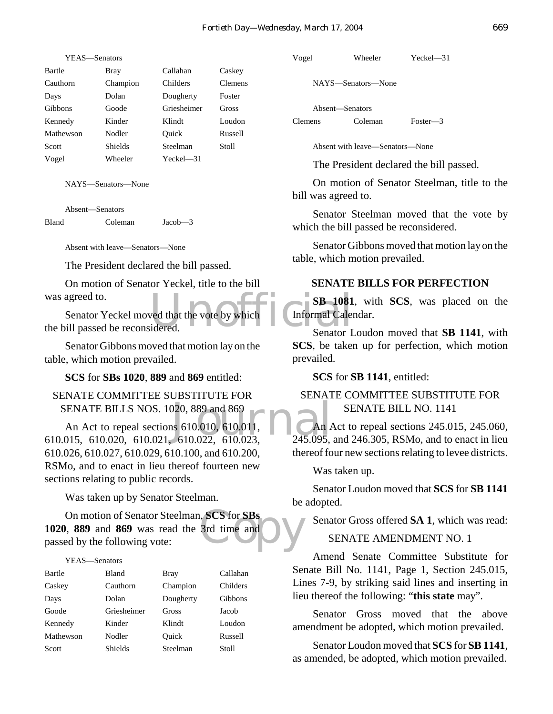| Bartle         | Bray           | Callahan    | Caskey         |
|----------------|----------------|-------------|----------------|
| Cauthorn       | Champion       | Childers    | <b>Clemens</b> |
| Days           | Dolan          | Dougherty   | Foster         |
| <b>Gibbons</b> | Goode          | Griesheimer | Gross          |
| Kennedy        | Kinder         | Klindt      | Loudon         |
| Mathewson      | Nodler         | Ouick       | Russell        |
| Scott          | <b>Shields</b> | Steelman    | Stoll          |
| Vogel          | Wheeler        | $Yech = 31$ |                |

NAYS—Senators—None

Absent—Senators Bland Coleman Jacob—3

Absent with leave—Senators—None

The President declared the bill passed.

On motion of Senator Yeckel, title to the bill was agreed to.

SB 1081<br>
Unidered. Senator I Calendared. Senator Yeckel moved that the vote by which the bill passed be reconsidered.

Senator Gibbons moved that motion lay on the table, which motion prevailed.

**SCS** for **SBs 1020**, **889** and **869** entitled:

SENATE COMMITTEE SUBSTITUTE FOR SENATE BILLS NOS. 1020, 889 and 869

 $\frac{1}{20}$ , 889 and 869<br>
as 610.010, 610.011, and  $\frac{1}{245.095}$ An Act to repeal sections 610.010, 610.011, 610.015, 610.020, 610.021, 610.022, 610.023, 610.026, 610.027, 610.029, 610.100, and 610.200, RSMo, and to enact in lieu thereof fourteen new sections relating to public records.

Was taken up by Senator Steelman.

SCS for SBs<br>3rd time and On motion of Senator Steelman, **SCS** for **SBs 1020**, **889** and **869** was read the 3rd time and passed by the following vote:

#### YEAS—Senators

| Bartle    | Bland       | <b>Bray</b> | Callahan |
|-----------|-------------|-------------|----------|
| Caskey    | Cauthorn    | Champion    | Childers |
| Days      | Dolan       | Dougherty   | Gibbons  |
| Goode     | Griesheimer | Gross       | Jacob    |
| Kennedy   | Kinder      | Klindt      | Loudon   |
| Mathewson | Nodler      | Ouick       | Russell  |
| Scott     | Shields     | Steelman    | Stoll    |

Vogel Wheeler Yeckel—31

NAYS—Senators—None

Absent—Senators Clemens Coleman Foster—3

Absent with leave—Senators—None

The President declared the bill passed.

On motion of Senator Steelman, title to the bill was agreed to.

Senator Steelman moved that the vote by which the bill passed be reconsidered.

Senator Gibbons moved that motion lay on the table, which motion prevailed.

#### **SENATE BILLS FOR PERFECTION**

**SB 1081**, with **SCS**, was placed on the Informal Calendar.

Senator Loudon moved that **SB 1141**, with **SCS**, be taken up for perfection, which motion prevailed.

**SCS** for **SB 1141**, entitled:

### SENATE COMMITTEE SUBSTITUTE FOR SENATE BILL NO. 1141

An Act to repeal sections 245.015, 245.060,  $245.095$ , and  $246.305$ , RSMo, and to enact in lieu thereof four new sections relating to levee districts.

Was taken up.

Senator Loudon moved that **SCS** for **SB 1141** be adopted.

Senator Gross offered **SA 1**, which was read:

### SENATE AMENDMENT NO. 1

Amend Senate Committee Substitute for Senate Bill No. 1141, Page 1, Section 245.015, Lines 7-9, by striking said lines and inserting in lieu thereof the following: "**this state** may".

Senator Gross moved that the above amendment be adopted, which motion prevailed.

Senator Loudon moved that **SCS** for **SB 1141**, as amended, be adopted, which motion prevailed.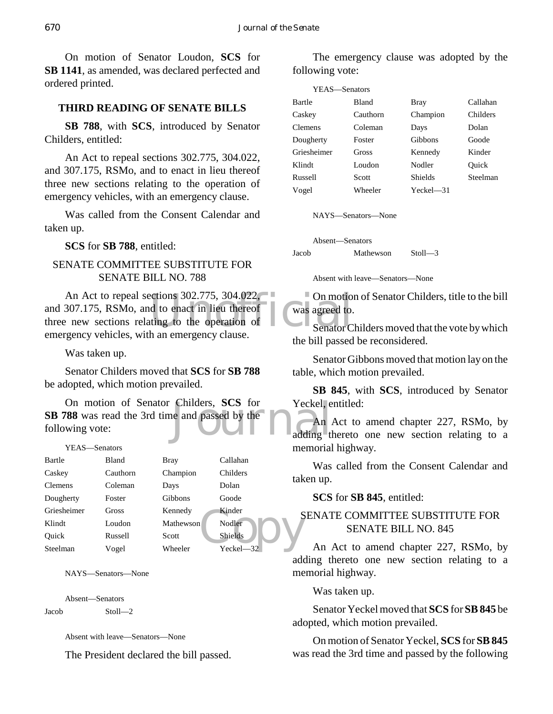On motion of Senator Loudon, **SCS** for **SB 1141**, as amended, was declared perfected and ordered printed.

### **THIRD READING OF SENATE BILLS**

**SB 788**, with **SCS**, introduced by Senator Childers, entitled:

An Act to repeal sections 302.775, 304.022, and 307.175, RSMo, and to enact in lieu thereof three new sections relating to the operation of emergency vehicles, with an emergency clause.

Was called from the Consent Calendar and taken up.

**SCS** for **SB 788**, entitled:

# SENATE COMMITTEE SUBSTITUTE FOR SENATE BILL NO. 788

An Act to repeal sections 302.775, 304.022,<br>
307.175, RSMo, and to enact in lieu thereof<br>
the operation of the section of Senator C<br>
concy vehicles with an emergency clause and 307.175, RSMo, and to enact in lieu thereof three new sections relating to the operation of emergency vehicles, with an emergency clause.

Was taken up.

Senator Childers moved that **SCS** for **SB 788** be adopted, which motion prevailed.

Childers, SCS for Yeckel, e<br>he and passed by the adding the adding the contract of the contract of the contract of the contract of the contract of the contract of the contract of the contract of the contract of the contrac On motion of Senator Childers, **SCS** for **SB 788** was read the 3rd time and passed by the following vote:

| YEAS—Senators |              |             |                | me  |
|---------------|--------------|-------------|----------------|-----|
| Bartle        | <b>Bland</b> | <b>Bray</b> | Callahan       |     |
| Caskey        | Cauthorn     | Champion    | Childers       |     |
| Clemens       | Coleman      | Days        | Dolan          | tak |
| Dougherty     | Foster       | Gibbons     | Goode          |     |
| Griesheimer   | <b>Gross</b> | Kennedy     | Kinder         | S   |
| Klindt        | Loudon       | Mathewson   | Nodler         |     |
| Ouick         | Russell      | Scott       | <b>Shields</b> |     |
| Steelman      | Vogel        | Wheeler     | Yeckel—32      |     |

NAYS—Senators—None

Absent—Senators

Jacob Stoll—2

Absent with leave—Senators—None

The President declared the bill passed.

The emergency clause was adopted by the following vote:

| YEAS-Senators  |          |           |          |
|----------------|----------|-----------|----------|
| Bartle         | Bland    | Bray      | Callahan |
| Caskey         | Cauthorn | Champion  | Childers |
| <b>Clemens</b> | Coleman  | Days      | Dolan    |
| Dougherty      | Foster   | Gibbons   | Goode    |
| Griesheimer    | Gross    | Kennedy   | Kinder   |
| Klindt         | Loudon   | Nodler    | Ouick    |
| Russell        | Scott    | Shields   | Steelman |
| Vogel          | Wheeler  | Yeckel—31 |          |

NAYS—Senators—None

Absent—Senators

Jacob Mathewson Stoll—3

Absent with leave—Senators—None

On motion of Senator Childers, title to the bill was agreed to.

Senator Childers moved that the vote by which the bill passed be reconsidered.

Senator Gibbons moved that motion lay on the table, which motion prevailed.

**SB 845**, with **SCS**, introduced by Senator Yeckel, entitled:

An Act to amend chapter 227, RSMo, by adding thereto one new section relating to a memorial highway.

Was called from the Consent Calendar and taken up.

**SCS** for **SB 845**, entitled:

# SENATE COMMITTEE SUBSTITUTE FOR SENATE BILL NO. 845

An Act to amend chapter 227, RSMo, by adding thereto one new section relating to a memorial highway.

Was taken up.

Senator Yeckel moved that **SCS** for **SB 845** be adopted, which motion prevailed.

On motion of Senator Yeckel, **SCS** for **SB 845** was read the 3rd time and passed by the following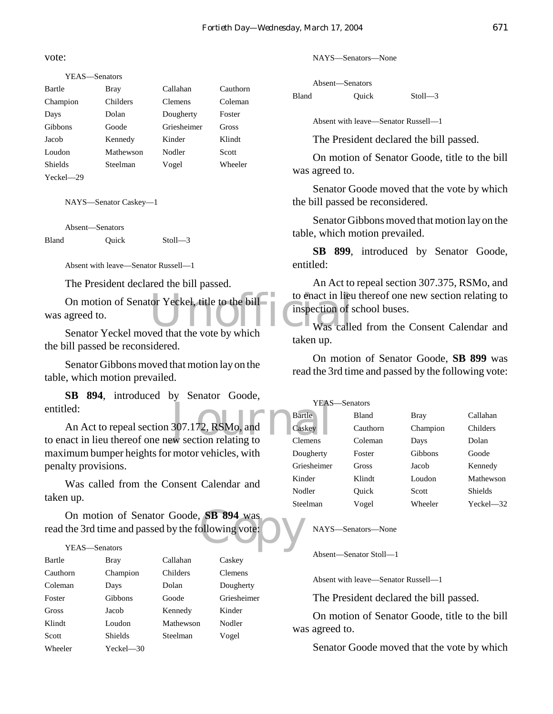vote:

YEAS—Senators

| Bartle         | Bray      | Callahan       | Cauthorn |
|----------------|-----------|----------------|----------|
| Champion       | Childers  | <b>Clemens</b> | Coleman  |
| Days           | Dolan     | Dougherty      | Foster   |
| <b>Gibbons</b> | Goode     | Griesheimer    | Gross    |
| Jacob          | Kennedy   | Kinder         | Klindt   |
| Loudon         | Mathewson | Nodler         | Scott    |
| Shields        | Steelman  | Vogel          | Wheeler  |
| Yeckel—29      |           |                |          |

NAYS—Senator Caskey—1

Absent—Senators Bland Quick Stoll—3

Absent with leave—Senator Russell—1

The President declared the bill passed.

On motion of Senator Yeckel, title to the bill<br>
agreed to.<br>
Senator Yeckel moved that the vote by which<br>
Was called was agreed to.

Senator Yeckel moved that the vote by which the bill passed be reconsidered.

Senator Gibbons moved that motion lay on the table, which motion prevailed.

**SB 894**, introduced by Senator Goode, entitled:

TEAS<br>
An Act to repeal section 307.172, RSMo, and<br>
to enact in lieu thereof one new section relating to An Act to repeal section 307.172, RSMo, and maximum bumper heights for motor vehicles, with penalty provisions.

Was called from the Consent Calendar and taken up.

SB 894 was<br>ollowing vote: On motion of Senator Goode, **SB 894** was read the 3rd time and passed by the following vote:

#### YEAS—Senators

| Bartle   | <b>Bray</b>    | Callahan  | Caskey         |
|----------|----------------|-----------|----------------|
| Cauthorn | Champion       | Childers  | <b>Clemens</b> |
| Coleman  | Days           | Dolan     | Dougherty      |
| Foster   | Gibbons        | Goode     | Griesheimer    |
| Gross    | Jacob          | Kennedy   | Kinder         |
| Klindt   | Loudon         | Mathewson | Nodler         |
| Scott    | <b>Shields</b> | Steelman  | Vogel          |
| Wheeler  | Yeckel—30      |           |                |

NAYS—Senators—None

Absent—Senators Bland Ouick Stoll—3

Absent with leave—Senator Russell—1

The President declared the bill passed.

On motion of Senator Goode, title to the bill was agreed to.

Senator Goode moved that the vote by which the bill passed be reconsidered.

Senator Gibbons moved that motion lay on the table, which motion prevailed.

**SB 899**, introduced by Senator Goode, entitled:

An Act to repeal section 307.375, RSMo, and to enact in lieu thereof one new section relating to inspection of school buses.

Was called from the Consent Calendar and taken up.

On motion of Senator Goode, **SB 899** was read the 3rd time and passed by the following vote:

| YEAS—Senators  |              |             |                |
|----------------|--------------|-------------|----------------|
| Bartle         | <b>Bland</b> | <b>Bray</b> | Callahan       |
| Caskey         | Cauthorn     | Champion    | Childers       |
| <b>Clemens</b> | Coleman      | Days        | Dolan          |
| Dougherty      | Foster       | Gibbons     | Goode          |
| Griesheimer    | Gross        | Jacob       | Kennedy        |
| Kinder         | Klindt       | Loudon      | Mathewson      |
| Nodler         | Ouick        | Scott       | <b>Shields</b> |
| Steelman       | Vogel        | Wheeler     | Yeckel—32      |

NAYS—Senators—None

Absent—Senator Stoll—1

Absent with leave—Senator Russell—1

The President declared the bill passed.

On motion of Senator Goode, title to the bill was agreed to.

Senator Goode moved that the vote by which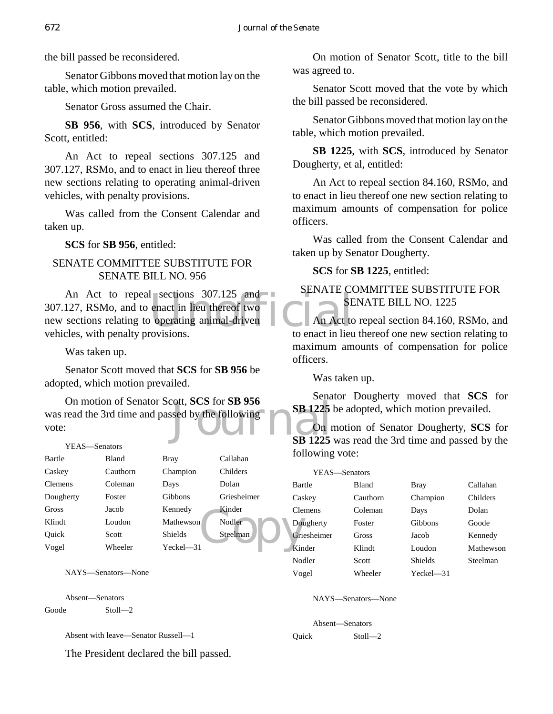the bill passed be reconsidered.

Senator Gibbons moved that motion lay on the table, which motion prevailed.

Senator Gross assumed the Chair.

**SB 956**, with **SCS**, introduced by Senator Scott, entitled:

An Act to repeal sections 307.125 and 307.127, RSMo, and to enact in lieu thereof three new sections relating to operating animal-driven vehicles, with penalty provisions.

Was called from the Consent Calendar and taken up.

**SCS** for **SB 956**, entitled:

# SENATE COMMITTEE SUBSTITUTE FOR SENATE BILL NO. 956

 $\begin{array}{ll}\n\text{1} & \text{sections} & 307.125 \\
\text{enact in lieu thereof two}\n\end{array}$   $\begin{array}{ll}\n\text{1} & \text{SE} \\
\text{1} & \text{SE} \\
\text{2} & \text{An Act to}\\
\text{1} & \text{the next in lieu}\n\end{array}$ An Act to repeal sections 307.125 and 307.127, RSMo, and to enact in lieu thereof two new sections relating to operating animal-driven vehicles, with penalty provisions.

Was taken up.

Senator Scott moved that **SCS** for **SB 956** be adopted, which motion prevailed.

Superior Superior SB 956<br>Sed by the following On motion of Senator Scott, **SCS** for **SB 956** was read the 3rd time and passed by the following vote:

#### YEAS—Senators

| Bartle    | Bland    | <b>Bray</b>    | Callahan    | 101  |
|-----------|----------|----------------|-------------|------|
| Caskey    | Cauthorn | Champion       | Childers    |      |
| Clemens   | Coleman  | Days           | Dolan       | Bar  |
| Dougherty | Foster   | Gibbons        | Griesheimer | Cas  |
| Gross     | Jacob    | Kennedy        | Kinder      | Cle: |
| Klindt    | Loudon   | Mathewson      | Nodler      | Dot  |
| Ouick     | Scott    | <b>Shields</b> | Steelman    | Gri  |
| Vogel     | Wheeler  | Yeckel—31      |             | Kin  |

NAYS—Senators—None

Absent—Senators

Goode Stoll—2

Absent with leave—Senator Russell—1

The President declared the bill passed.

On motion of Senator Scott, title to the bill was agreed to.

Senator Scott moved that the vote by which the bill passed be reconsidered.

Senator Gibbons moved that motion lay on the table, which motion prevailed.

**SB 1225**, with **SCS**, introduced by Senator Dougherty, et al, entitled:

An Act to repeal section 84.160, RSMo, and to enact in lieu thereof one new section relating to maximum amounts of compensation for police officers.

Was called from the Consent Calendar and taken up by Senator Dougherty.

**SCS** for **SB 1225**, entitled:

# SENATE COMMITTEE SUBSTITUTE FOR SENATE BILL NO. 1225

An Act to repeal section 84.160, RSMo, and to enact in lieu thereof one new section relating to maximum amounts of compensation for police officers.

Was taken up.

Senator Dougherty moved that **SCS** for **SB 1225** be adopted, which motion prevailed.

On motion of Senator Dougherty, **SCS** for **SB 1225** was read the 3rd time and passed by the following vote:

| YEAS-Senators |             |              |                |           |
|---------------|-------------|--------------|----------------|-----------|
|               | Bartle      | <b>Bland</b> | <b>Bray</b>    | Callahan  |
|               | Caskey      | Cauthorn     | Champion       | Childers  |
|               | Clemens     | Coleman      | Days           | Dolan     |
|               | Dougherty   | Foster       | Gibbons        | Goode     |
|               | Griesheimer | Gross        | Jacob          | Kennedy   |
|               | Kinder      | Klindt       | Loudon         | Mathewson |
|               | Nodler      | Scott        | <b>Shields</b> | Steelman  |
|               | Vogel       | Wheeler      | Yeckel—31      |           |

NAYS—Senators—None

Absent—Senators Quick Stoll—2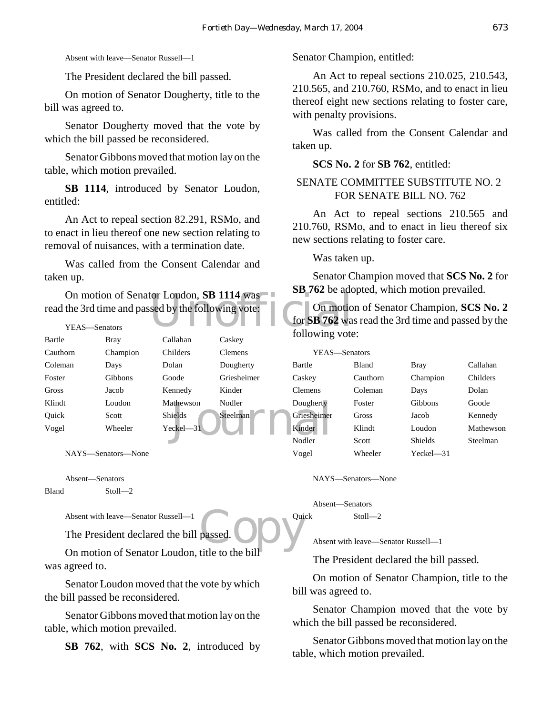Absent with leave—Senator Russell—1

The President declared the bill passed.

On motion of Senator Dougherty, title to the bill was agreed to.

Senator Dougherty moved that the vote by which the bill passed be reconsidered.

Senator Gibbons moved that motion lay on the table, which motion prevailed.

**SB 1114**, introduced by Senator Loudon, entitled:

An Act to repeal section 82.291, RSMo, and to enact in lieu thereof one new section relating to removal of nuisances, with a termination date.

Was called from the Consent Calendar and taken up.

On motion of Senator Loudon, **SB 1114** was<br>the 3rd time and passed by the following vote:<br>YEAS—Senators<br>following vote<br>following vote read the 3rd time and passed by the following vote:

| YEAS—Senators |                |                |                | 1919 D.D. L.V  |
|---------------|----------------|----------------|----------------|----------------|
| Bartle        | <b>Bray</b>    | Callahan       | Caskey         | following      |
| Cauthorn      | Champion       | Childers       | <b>Clemens</b> | YEAS           |
| Coleman       | Days           | Dolan          | Dougherty      | Bartle         |
| Foster        | <b>Gibbons</b> | Goode          | Griesheimer    | Caskey         |
| Gross         | Jacob          | Kennedy        | Kinder         | <b>Clemens</b> |
| Klindt        | Loudon         | Mathewson      | Nodler         | Dougherty      |
| Ouick         | Scott          | <b>Shields</b> | Steelman       | Griesheimer    |
| Vogel         | Wheeler        | Yeckel-31      |                | Kinder         |
|               |                |                |                | Nodler         |

NAYS—Senators—None

Absent—Senators Bland Stoll—2

Absent with leave—Senator Russell—1

The President declared the bill passed.

passed. **OD** On motion of Senator Loudon, title to the bill was agreed to.

Senator Loudon moved that the vote by which the bill passed be reconsidered.

Senator Gibbons moved that motion lay on the table, which motion prevailed.

**SB 762**, with **SCS No. 2**, introduced by

Senator Champion, entitled:

An Act to repeal sections 210.025, 210.543, 210.565, and 210.760, RSMo, and to enact in lieu thereof eight new sections relating to foster care, with penalty provisions.

Was called from the Consent Calendar and taken up.

**SCS No. 2** for **SB 762**, entitled:

### SENATE COMMITTEE SUBSTITUTE NO. 2 FOR SENATE BILL NO. 762

An Act to repeal sections 210.565 and 210.760, RSMo, and to enact in lieu thereof six new sections relating to foster care.

Was taken up.

Senator Champion moved that **SCS No. 2** for **SB 762** be adopted, which motion prevailed.

On motion of Senator Champion, **SCS No. 2** for **SB 762** was read the 3rd time and passed by the following vote:

|    | YEAS—Senators  |          |                |           |
|----|----------------|----------|----------------|-----------|
|    | Bartle         | Bland    | Bray           | Callahan  |
| эr | Caskey         | Cauthorn | Champion       | Childers  |
|    | <b>Clemens</b> | Coleman  | Days           | Dolan     |
|    | Dougherty      | Foster   | Gibbons        | Goode     |
|    | Griesheimer    | Gross    | Jacob          | Kennedy   |
|    | Kinder         | Klindt   | Loudon         | Mathewson |
|    | Nodler         | Scott    | <b>Shields</b> | Steelman  |
|    | Vogel          | Wheeler  | Yeckel—31      |           |

NAYS—Senators—None

Absent—Senators Quick Stoll—2

Absent with leave—Senator Russell—1

The President declared the bill passed.

On motion of Senator Champion, title to the bill was agreed to.

Senator Champion moved that the vote by which the bill passed be reconsidered.

Senator Gibbons moved that motion lay on the table, which motion prevailed.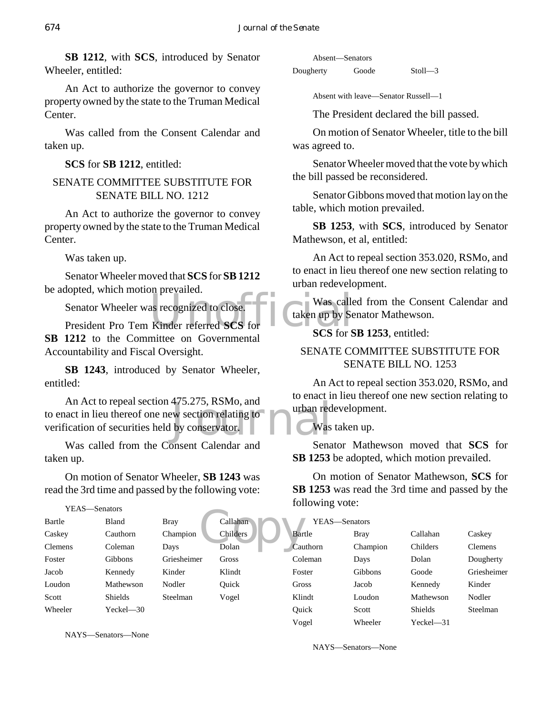**SB 1212**, with **SCS**, introduced by Senator Wheeler, entitled:

An Act to authorize the governor to convey property owned by the state to the Truman Medical Center.

Was called from the Consent Calendar and taken up.

**SCS** for **SB 1212**, entitled:

# SENATE COMMITTEE SUBSTITUTE FOR SENATE BILL NO. 1212

An Act to authorize the governor to convey property owned by the state to the Truman Medical Center.

Was taken up.

Senator Wheeler moved that **SCS** for **SB 1212** be adopted, which motion prevailed.

Senator Wheeler was recognized to close.

Senator Wheeler was recognized to close.<br>President Pro Tem Kinder referred **SCS** for SCS for SCS for S **SB 1212** to the Committee on Governmental Accountability and Fiscal Oversight.

**SB 1243**, introduced by Senator Wheeler, entitled:

4/5.2/5, RSMo, and<br>by conservator.<br>Nas An Act to repeal section 475.275, RSMo, and to enact in lieu thereof one new section relating to verification of securities held by conservator.

Was called from the Consent Calendar and taken up.

On motion of Senator Wheeler, **SB 1243** was read the 3rd time and passed by the following vote:

|                | YEAS—Senators |             |          | 101  |
|----------------|---------------|-------------|----------|------|
| Bartle         | Bland         | <b>Bray</b> | Callahan |      |
| Caskey         | Cauthorn      | Champion    | Childers | Bar  |
| <b>Clemens</b> | Coleman       | Days        | Dolan    | Cau  |
| Foster         | Gibbons       | Griesheimer | Gross    | Col  |
| Jacob          | Kennedy       | Kinder      | Klindt   | Fos  |
| Loudon         | Mathewson     | Nodler      | Ouick    | Gro  |
| Scott          | Shields       | Steelman    | Vogel    | Klin |
| Wheeler        | Yeckel—30     |             |          | Qui  |

NAYS—Senators—None

|           | Absent—Senators |         |
|-----------|-----------------|---------|
| Dougherty | Goode           | Stoll—3 |

Absent with leave—Senator Russell—1

The President declared the bill passed.

On motion of Senator Wheeler, title to the bill was agreed to.

Senator Wheeler moved that the vote by which the bill passed be reconsidered.

Senator Gibbons moved that motion lay on the table, which motion prevailed.

**SB 1253**, with **SCS**, introduced by Senator Mathewson, et al, entitled:

An Act to repeal section 353.020, RSMo, and to enact in lieu thereof one new section relating to urban redevelopment.

Was called from the Consent Calendar and taken up by Senator Mathewson.

**SCS** for **SB 1253**, entitled:

# SENATE COMMITTEE SUBSTITUTE FOR SENATE BILL NO. 1253

An Act to repeal section 353.020, RSMo, and to enact in lieu thereof one new section relating to urban redevelopment.

Was taken up.

Senator Mathewson moved that **SCS** for **SB 1253** be adopted, which motion prevailed.

On motion of Senator Mathewson, **SCS** for **SB 1253** was read the 3rd time and passed by the following vote:

| YEAS-Senators |          |                |                |
|---------------|----------|----------------|----------------|
| Bartle        | Bray     | Callahan       | Caskey         |
| Cauthorn      | Champion | Childers       | <b>Clemens</b> |
| Coleman       | Days     | Dolan          | Dougherty      |
| Foster        | Gibbons  | Goode          | Griesheimer    |
| Gross         | Jacob    | Kennedy        | Kinder         |
| Klindt        | Loudon   | Mathewson      | Nodler         |
| Ouick         | Scott    | <b>Shields</b> | Steelman       |
| Vogel         | Wheeler  | $Yeckel$ —31   |                |

NAYS—Senators—None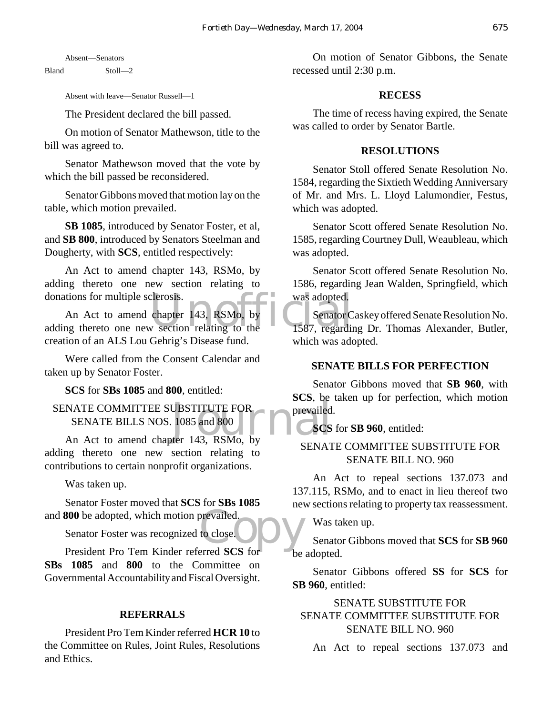Absent—Senators

Bland Stoll—2

Absent with leave—Senator Russell—1

The President declared the bill passed.

On motion of Senator Mathewson, title to the bill was agreed to.

Senator Mathewson moved that the vote by which the bill passed be reconsidered.

Senator Gibbons moved that motion lay on the table, which motion prevailed.

**SB 1085**, introduced by Senator Foster, et al, and **SB 800**, introduced by Senators Steelman and Dougherty, with **SCS**, entitled respectively:

An Act to amend chapter 143, RSMo, by adding thereto one new section relating to donations for multiple sclerosis.

clerosis.<br>
chapter 143, RSMo, by<br>
v section relating to the 1587, regarding An Act to amend chapter 143, RSMo, by adding thereto one new section relating to the creation of an ALS Lou Gehrig's Disease fund.

Were called from the Consent Calendar and taken up by Senator Foster.

**SCS** for **SBs 1085** and **800**, entitled:

NATE COMMITTEE SUBSTITUTE FOR<br>
SENATE BILLS NOS. 1085 and 800<br>
An Act to amend chapter 143, RSMo, by SENATE COMMITTEE SUBSTITUTE FOR SENATE BILLS NOS. 1085 and 800

adding thereto one new section relating to contributions to certain nonprofit organizations.

Was taken up.

prevailed. Senator Foster moved that **SCS** for **SBs 1085** and **800** be adopted, which motion prevailed.

Senator Foster was recognized to close.

President Pro Tem Kinder referred **SCS** for **SBs 1085** and **800** to the Committee on Governmental Accountability and Fiscal Oversight.

#### **REFERRALS**

President Pro Tem Kinder referred **HCR 10** to the Committee on Rules, Joint Rules, Resolutions and Ethics.

On motion of Senator Gibbons, the Senate recessed until 2:30 p.m.

#### **RECESS**

The time of recess having expired, the Senate was called to order by Senator Bartle.

#### **RESOLUTIONS**

Senator Stoll offered Senate Resolution No. 1584, regarding the Sixtieth Wedding Anniversary of Mr. and Mrs. L. Lloyd Lalumondier, Festus, which was adopted.

Senator Scott offered Senate Resolution No. 1585, regarding Courtney Dull, Weaubleau, which was adopted.

Senator Scott offered Senate Resolution No. 1586, regarding Jean Walden, Springfield, which was adopted.

Senator Caskey offered Senate Resolution No. 1587, regarding Dr. Thomas Alexander, Butler, which was adopted.

#### **SENATE BILLS FOR PERFECTION**

Senator Gibbons moved that **SB 960**, with **SCS**, be taken up for perfection, which motion prevailed.

### **SCS** for **SB 960**, entitled:

# SENATE COMMITTEE SUBSTITUTE FOR SENATE BILL NO. 960

An Act to repeal sections 137.073 and 137.115, RSMo, and to enact in lieu thereof two new sections relating to property tax reassessment.

Was taken up.

Senator Gibbons moved that **SCS** for **SB 960** be adopted.

Senator Gibbons offered **SS** for **SCS** for **SB 960**, entitled:

# SENATE SUBSTITUTE FOR SENATE COMMITTEE SUBSTITUTE FOR SENATE BILL NO. 960

An Act to repeal sections 137.073 and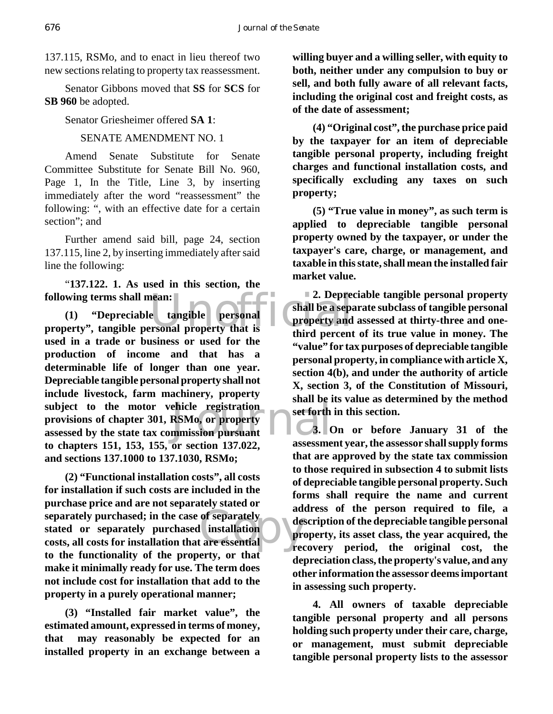137.115, RSMo, and to enact in lieu thereof two new sections relating to property tax reassessment.

Senator Gibbons moved that **SS** for **SCS** for **SB 960** be adopted.

Senator Griesheimer offered **SA 1**:

# SENATE AMENDMENT NO. 1

Amend Senate Substitute for Senate Committee Substitute for Senate Bill No. 960, Page 1, In the Title, Line 3, by inserting immediately after the word "reassessment" the following: ", with an effective date for a certain section"; and

Further amend said bill, page 24, section 137.115, line 2, by inserting immediately after said line the following:

"**137.122. 1. As used in this section, the following terms shall mean:**

Following terms shall mean:<br>
(1) "Depreciable tangible personal property", tangible personal property that is<br>
property that is<br>
third percent subject to the motor vehicle registration<br>provisions of chapter 301, RSMo, or property<br>assessed by the state tax commission pursuant<br>discussion of the 151 152 155 contract in 137,922 **(1) "Depreciable tangible personal used in a trade or business or used for the production of income and that has a determinable life of longer than one year. Depreciable tangible personal property shall not include livestock, farm machinery, property provisions of chapter 301, RSMo, or property assessed by the state tax commission pursuant to chapters 151, 153, 155, or section 137.022, and sections 137.1000 to 137.1030, RSMo;**

separately purchased; in the case of separately<br>
stated or separately purchased installation<br>
costs, all costs for installation that are essential **(2) "Functional installation costs", all costs for installation if such costs are included in the purchase price and are not separately stated or stated or separately purchased installation costs, all costs for installation that are essential to the functionality of the property, or that make it minimally ready for use. The term does not include cost for installation that add to the property in a purely operational manner;**

**(3) "Installed fair market value", the estimated amount, expressed in terms of money, that may reasonably be expected for an installed property in an exchange between a**

**willing buyer and a willing seller, with equity to both, neither under any compulsion to buy or sell, and both fully aware of all relevant facts, including the original cost and freight costs, as of the date of assessment;**

**(4) "Original cost", the purchase price paid by the taxpayer for an item of depreciable tangible personal property, including freight charges and functional installation costs, and specifically excluding any taxes on such property;**

**(5) "True value in money", as such term is applied to depreciable tangible personal property owned by the taxpayer, or under the taxpayer's care, charge, or management, and taxable in this state, shall mean the installed fair market value.**

**2. Depreciable tangible personal property shall be a separate subclass of tangible personal property and assessed at thirty-three and onethird percent of its true value in money. The "value" for tax purposes of depreciable tangible personal property, in compliance with article X, section 4(b), and under the authority of article X, section 3, of the Constitution of Missouri, shall be its value as determined by the method set forth in this section.**

**3. On or before January 31 of the assessment year, the assessor shall supply forms that are approved by the state tax commission to those required in subsection 4 to submit lists of depreciable tangible personal property. Such forms shall require the name and current address of the person required to file, a description of the depreciable tangible personal property, its asset class, the year acquired, the recovery period, the original cost, the depreciation class, the property's value, and any other information the assessor deems important in assessing such property.**

**4. All owners of taxable depreciable tangible personal property and all persons holding such property under their care, charge, or management, must submit depreciable tangible personal property lists to the assessor**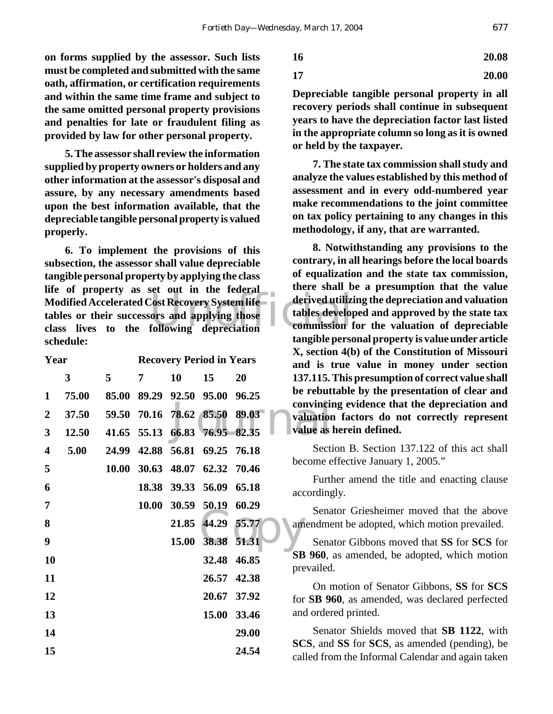**on forms supplied by the assessor. Such lists must be completed and submitted with the same oath, affirmation, or certification requirements and within the same time frame and subject to the same omitted personal property provisions and penalties for late or fraudulent filing as provided by law for other personal property.**

**5. The assessor shall review the information supplied by property owners or holders and any other information at the assessor's disposal and assure, by any necessary amendments based upon the best information available, that the depreciable tangible personal property is valued properly.**

Modified Accelerated Cost Recovery System life<br>
tables or their successors and applying those<br>
class lives to the following depreciation **6. To implement the provisions of this subsection, the assessor shall value depreciable tangible personal property by applying the class life of property as set out in the federal Modified Accelerated Cost Recovery System life tables or their successors and applying those schedule:**

| Year                    |       |       |   | <b>Recovery Period in Years</b> |             |                               | $229$ becape<br>and is 1    |
|-------------------------|-------|-------|---|---------------------------------|-------------|-------------------------------|-----------------------------|
|                         | 3     | 5     | 7 | 10                              | 15          | 20                            | 137.115.                    |
| $\mathbf{1}$            | 75.00 | 85.00 |   | 89.29 92.50 95.00               |             | 96.25                         | be rebut<br>convinci        |
| $\overline{2}$          | 37.50 |       |   |                                 |             | 59.50 70.16 78.62 85.50 89.03 | valuation                   |
| $\mathbf{3}$            | 12.50 |       |   | 41.65 55.13 66.83 76.95 82.35   |             |                               | value as                    |
| $\overline{\mathbf{4}}$ | 5.00  | 24.99 |   | 42.88 56.81 69.25 76.18         |             |                               | Secti                       |
| 5                       |       | 10.00 |   | 30.63 48.07 62.32 70.46         |             |                               | become e                    |
| 6                       |       |       |   | 18.38 39.33 56.09               |             | 65.18                         | Furth<br>according          |
| 7                       |       |       |   | 10.00 30.59 50.19 60.29         |             |                               | Sena                        |
| 8                       |       |       |   | 21.85                           | 44.29 55.77 |                               | amendme                     |
| 9                       |       |       |   | 15.00                           |             | 38.38 51.31                   | Sena                        |
| 10                      |       |       |   |                                 | 32.48       | 46.85                         | <b>SB</b> 960,<br>prevailed |
| 11                      |       |       |   |                                 | 26.57       | 42.38                         | On r                        |
| 12                      |       |       |   |                                 | 20.67       | 37.92                         | for SB 9                    |
| 13                      |       |       |   |                                 | 15.00       | 33.46                         | and order                   |
| 14                      |       |       |   |                                 |             | 29.00                         | Sena                        |
| 15                      |       |       |   |                                 |             | 24.54                         | SCS, and<br>called fro      |

$$
17 \hspace{5.5cm} 20.00
$$

**Depreciable tangible personal property in all recovery periods shall continue in subsequent years to have the depreciation factor last listed in the appropriate column so long as it is owned or held by the taxpayer.**

**7. The state tax commission shall study and analyze the values established by this method of assessment and in every odd-numbered year make recommendations to the joint committee on tax policy pertaining to any changes in this methodology, if any, that are warranted.**

**8. Notwithstanding any provisions to the contrary, in all hearings before the local boards of equalization and the state tax commission, there shall be a presumption that the value derived utilizing the depreciation and valuation tables developed and approved by the state tax commission for the valuation of depreciable tangible personal property is value under article X, section 4(b) of the Constitution of Missouri and is true value in money under section 137.115. This presumption of correct value shall be rebuttable by the presentation of clear and convincing evidence that the depreciation and valuation factors do not correctly represent value as herein defined.**

Section B. Section 137.122 of this act shall become effective January 1, 2005."

Further amend the title and enacting clause accordingly.

Senator Griesheimer moved that the above amendment be adopted, which motion prevailed.

Senator Gibbons moved that **SS** for **SCS** for **SB 960**, as amended, be adopted, which motion prevailed.

On motion of Senator Gibbons, **SS** for **SCS** for **SB 960**, as amended, was declared perfected and ordered printed.

Senator Shields moved that **SB 1122**, with **SCS**, and **SS** for **SCS**, as amended (pending), be called from the Informal Calendar and again taken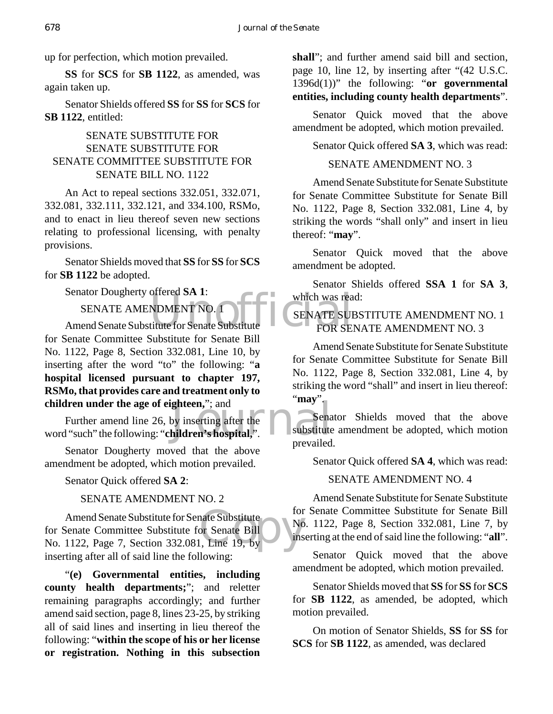up for perfection, which motion prevailed.

**SS** for **SCS** for **SB 1122**, as amended, was again taken up.

Senator Shields offered **SS** for **SS** for **SCS** for **SB 1122**, entitled:

### SENATE SUBSTITUTE FOR SENATE SUBSTITUTE FOR SENATE COMMITTEE SUBSTITUTE FOR SENATE BILL NO. 1122

An Act to repeal sections 332.051, 332.071, 332.081, 332.111, 332.121, and 334.100, RSMo, and to enact in lieu thereof seven new sections relating to professional licensing, with penalty provisions.

Senator Shields moved that **SS** for **SS** for **SCS** for **SB 1122** be adopted.

Senator Dougherty offered **SA 1**:

SENATE AMENDMENT NO. 1

Senator Dougnerty offered SA 1:<br>
SENATE AMENDMENT NO. 1<br>
Amend Senate Substitute for Senate Substitute<br>
FOR SEN for Senate Committee Substitute for Senate Bill No. 1122, Page 8, Section 332.081, Line 10, by inserting after the word "to" the following: "**a hospital licensed pursuant to chapter 197, RSMo, that provides care and treatment only to children under the age of eighteen,**"; and

ghteen,"; and<br>by inserting after the<br>hildren's hospital,". Further amend line 26, by inserting after the word "such" the following: "**children's hospital,**".

Senator Dougherty moved that the above amendment be adopted, which motion prevailed.

Senator Quick offered **SA 2**:

SENATE AMENDMENT NO. 2

Amend Senate Substitute for Senate Substitute<br>for Senate Committee Substitute for Senate Bill<br>No. 1122, Page 7, Section 332.081, Line 19, by Amend Senate Substitute for Senate Substitute for Senate Committee Substitute for Senate Bill inserting after all of said line the following:

"**(e) Governmental entities, including county health departments;**"; and reletter remaining paragraphs accordingly; and further amend said section, page 8, lines 23-25, by striking all of said lines and inserting in lieu thereof the following: "**within the scope of his or her license or registration. Nothing in this subsection** **shall**"; and further amend said bill and section, page 10, line 12, by inserting after "(42 U.S.C. 1396d(1))" the following: "**or governmental entities, including county health departments**".

Senator Quick moved that the above amendment be adopted, which motion prevailed.

Senator Quick offered **SA 3**, which was read:

SENATE AMENDMENT NO. 3

Amend Senate Substitute for Senate Substitute for Senate Committee Substitute for Senate Bill No. 1122, Page 8, Section 332.081, Line 4, by striking the words "shall only" and insert in lieu thereof: "**may**".

Senator Quick moved that the above amendment be adopted.

Senator Shields offered **SSA 1** for **SA 3**, which was read:

# SENATE SUBSTITUTE AMENDMENT NO. 1 FOR SENATE AMENDMENT NO. 3

Amend Senate Substitute for Senate Substitute for Senate Committee Substitute for Senate Bill No. 1122, Page 8, Section 332.081, Line 4, by striking the word "shall" and insert in lieu thereof: "**may**".

Senator Shields moved that the above substitute amendment be adopted, which motion prevailed.

Senator Quick offered **SA 4**, which was read:

### SENATE AMENDMENT NO. 4

Amend Senate Substitute for Senate Substitute for Senate Committee Substitute for Senate Bill No. 1122, Page 8, Section 332.081, Line 7, by inserting at the end of said line the following: "**all**".

Senator Quick moved that the above amendment be adopted, which motion prevailed.

Senator Shields moved that **SS** for **SS** for **SCS** for **SB 1122**, as amended, be adopted, which motion prevailed.

On motion of Senator Shields, **SS** for **SS** for **SCS** for **SB 1122**, as amended, was declared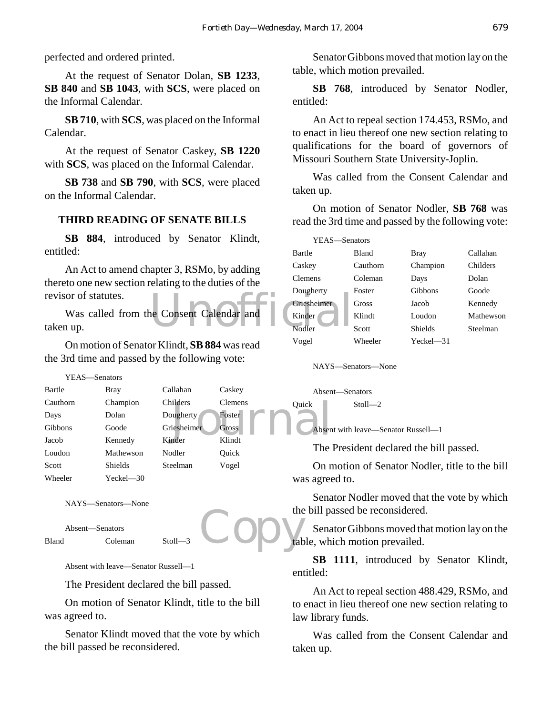perfected and ordered printed.

At the request of Senator Dolan, **SB 1233**, **SB 840** and **SB 1043**, with **SCS**, were placed on the Informal Calendar.

**SB 710**, with **SCS**, was placed on the Informal Calendar.

At the request of Senator Caskey, **SB 1220** with **SCS**, was placed on the Informal Calendar.

**SB 738** and **SB 790**, with **SCS**, were placed on the Informal Calendar.

# **THIRD READING OF SENATE BILLS**

**SB 884**, introduced by Senator Klindt, entitled:

An Act to amend chapter 3, RSMo, by adding thereto one new section relating to the duties of the revisor of statutes.

e Consent Calendar and Nodler Was called from the Consent Calendar and taken up.

On motion of Senator Klindt, **SB 884** was read the 3rd time and passed by the following vote:

ilders Clemens Quick<br>
Dugherty Foster Cross<br>
The Cross Contract Contract Contract Contract Contract Contract Contract Contract Contract Contract Contract Contract Contract Contract Contract Contract Contract Contract Contr YEAS—Senators Bartle Bray Callahan Caskey Cauthorn Champion Childers Clemens Days Dolan Dougherty Foster Gibbons Goode Griesheimer Gross Jacob Kennedy Kinder Klindt Loudon Mathewson Nodler Ouick Scott Shields Steelman Vogel Wheeler Yeckel—30

NAYS—Senators—None

```
Absent—Senators
Bland Coleman Stoll-
```
Absent with leave—Senator Russell—1

The President declared the bill passed.

On motion of Senator Klindt, title to the bill was agreed to.

Senator Klindt moved that the vote by which the bill passed be reconsidered.

Senator Gibbons moved that motion lay on the table, which motion prevailed.

**SB 768**, introduced by Senator Nodler, entitled:

An Act to repeal section 174.453, RSMo, and to enact in lieu thereof one new section relating to qualifications for the board of governors of Missouri Southern State University-Joplin.

Was called from the Consent Calendar and taken up.

On motion of Senator Nodler, **SB 768** was read the 3rd time and passed by the following vote:

| YEAS-Senators  |              |                |           |
|----------------|--------------|----------------|-----------|
| Bartle         | <b>Bland</b> | <b>Bray</b>    | Callahan  |
| Caskey         | Cauthorn     | Champion       | Childers  |
| <b>Clemens</b> | Coleman      | Days           | Dolan     |
| Dougherty      | Foster       | Gibbons        | Goode     |
| Griesheimer    | Gross        | Jacob          | Kennedy   |
| Kinder         | Klindt       | Loudon         | Mathewson |
| Nodler         | Scott        | <b>Shields</b> | Steelman  |
| Vogel          | Wheeler      | $Yeckel$ —31   |           |

NAYS—Senators—None

Absent—Senators Quick Stoll—2

Absent with leave—Senator Russell—1

The President declared the bill passed.

On motion of Senator Nodler, title to the bill was agreed to.

Senator Nodler moved that the vote by which the bill passed be reconsidered.

Copy the Senator Gibbons moved that motion lay on the table, which motion prevailed.

> **SB 1111**, introduced by Senator Klindt, entitled:

> An Act to repeal section 488.429, RSMo, and to enact in lieu thereof one new section relating to law library funds.

> Was called from the Consent Calendar and taken up.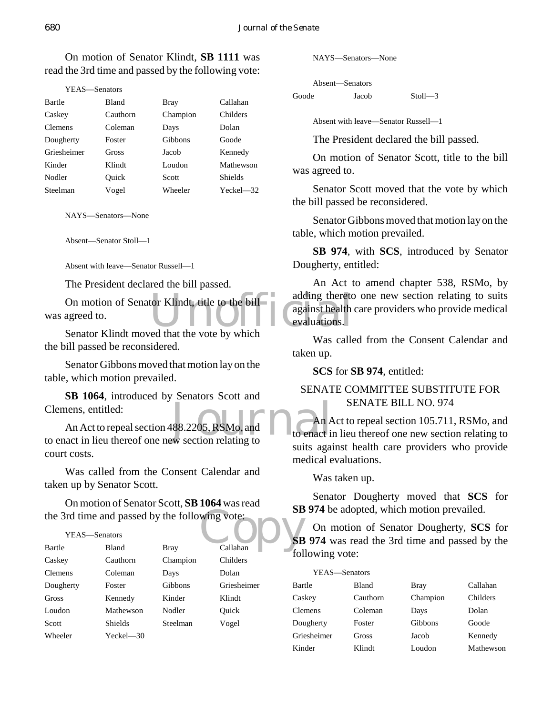On motion of Senator Klindt, **SB 1111** was read the 3rd time and passed by the following vote:

| YEAS—Senators  |              |          |                |
|----------------|--------------|----------|----------------|
| Bartle         | <b>Bland</b> | Bray     | Callahan       |
| Caskey         | Cauthorn     | Champion | Childers       |
| <b>Clemens</b> | Coleman      | Days     | Dolan          |
| Dougherty      | Foster       | Gibbons  | Goode          |
| Griesheimer    | Gross        | Jacob    | Kennedy        |
| Kinder         | Klindt       | Loudon   | Mathewson      |
| Nodler         | Ouick        | Scott    | <b>Shields</b> |
| Steelman       | Vogel        | Wheeler  | $Yeckel$ $-32$ |

NAYS—Senators—None

Absent—Senator Stoll—1

Absent with leave—Senator Russell—1

The President declared the bill passed.

On motion of Senator Klindt, title to the bill<br>agreed to.<br>Senator Klindt moved that the vote by which<br>Senator Klindt moved that the vote by which was agreed to.

Senator Klindt moved that the vote by which the bill passed be reconsidered.

Senator Gibbons moved that motion lay on the table, which motion prevailed.

**SB 1064**, introduced by Senators Scott and Clemens, entitled:

488.2205, RSMo, and<br>w section relating to An Act to repeal section 488.2205, RSMo, and to enact in lieu thereof one new section relating to court costs.

Was called from the Consent Calendar and taken up by Senator Scott.

Wing vote:<br>Callahan<br>Callahan On motion of Senator Scott, **SB 1064** was read the 3rd time and passed by the following vote:

#### YEAS—Senators

| Bartle         | <b>Bland</b>   | <b>Bray</b> | Callahan    |
|----------------|----------------|-------------|-------------|
| Caskey         | Cauthorn       | Champion    | Childers    |
| <b>Clemens</b> | Coleman        | Days        | Dolan       |
| Dougherty      | Foster         | Gibbons     | Griesheimer |
| Gross          | Kennedy        | Kinder      | Klindt      |
| Loudon         | Mathewson      | Nodler      | Ouick       |
| Scott          | <b>Shields</b> | Steelman    | Vogel       |
| Wheeler        | Yeckel—30      |             |             |

NAYS—Senators—None

Absent—Senators Goode Jacob Stoll—3

Absent with leave—Senator Russell—1

The President declared the bill passed.

On motion of Senator Scott, title to the bill was agreed to.

Senator Scott moved that the vote by which the bill passed be reconsidered.

Senator Gibbons moved that motion lay on the table, which motion prevailed.

**SB 974**, with **SCS**, introduced by Senator Dougherty, entitled:

An Act to amend chapter 538, RSMo, by adding thereto one new section relating to suits against health care providers who provide medical evaluations.

Was called from the Consent Calendar and taken up.

**SCS** for **SB 974**, entitled:

# SENATE COMMITTEE SUBSTITUTE FOR SENATE BILL NO. 974

An Act to repeal section 105.711, RSMo, and to enact in lieu thereof one new section relating to suits against health care providers who provide medical evaluations.

Was taken up.

Senator Dougherty moved that **SCS** for **SB 974** be adopted, which motion prevailed.

On motion of Senator Dougherty, **SCS** for **SB 974** was read the 3rd time and passed by the following vote:

| YEAS—Senators  |              |             |           |
|----------------|--------------|-------------|-----------|
| Bartle         | <b>Bland</b> | <b>Bray</b> | Callahan  |
| Caskey         | Cauthorn     | Champion    | Childers  |
| <b>Clemens</b> | Coleman      | Days        | Dolan     |
| Dougherty      | Foster       | Gibbons     | Goode     |
| Griesheimer    | Gross        | Jacob       | Kennedy   |
| Kinder         | Klindt       | Loudon      | Mathewson |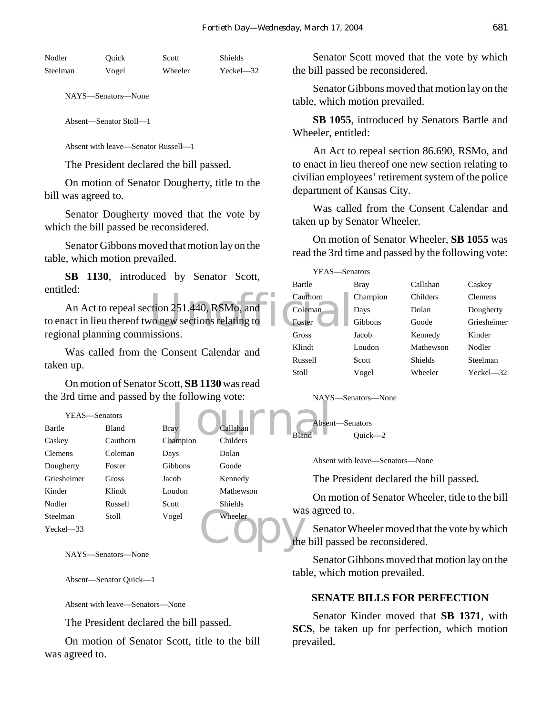| Nodler   | Ouick | Scott   | Shields       |
|----------|-------|---------|---------------|
| Steelman | Vogel | Wheeler | $Yeckel - 32$ |

NAYS—Senators—None

Absent—Senator Stoll—1

Absent with leave—Senator Russell—1

The President declared the bill passed.

On motion of Senator Dougherty, title to the bill was agreed to.

Senator Dougherty moved that the vote by which the bill passed be reconsidered.

Senator Gibbons moved that motion lay on the table, which motion prevailed.

**SB 1130**, introduced by Senator Scott, entitled:

Cauthorn<br>
vo new sections relating to<br>
issions An Act to repeal section 251.440, RSMo, and to enact in lieu thereof two new sections relating to regional planning commissions.

Was called from the Consent Calendar and taken up.

On motion of Senator Scott, **SB 1130** was read the 3rd time and passed by the following vote:

#### YEAS—Senators

|                | $\frac{1}{2}$ and $\frac{1}{2}$ and $\frac{1}{2}$ and $\frac{1}{2}$ and $\frac{1}{2}$ and $\frac{1}{2}$ and $\frac{1}{2}$ and $\frac{1}{2}$ are $\frac{1}{2}$ |             |                | . <b>. .</b> . |
|----------------|---------------------------------------------------------------------------------------------------------------------------------------------------------------|-------------|----------------|----------------|
| YEAS-Senators  |                                                                                                                                                               |             |                |                |
| Bartle         | Bland                                                                                                                                                         | <b>Bray</b> | Callahan       | Absen          |
| Caskey         | Cauthorn                                                                                                                                                      | Champion    | Childers       | <b>Bland</b>   |
| <b>Clemens</b> | Coleman                                                                                                                                                       | Days        | Dolan          |                |
| Dougherty      | Foster                                                                                                                                                        | Gibbons     | Goode          | Absen          |
| Griesheimer    | Gross                                                                                                                                                         | Jacob       | Kennedy        | The            |
| Kinder         | Klindt                                                                                                                                                        | Loudon      | Mathewson      | On n           |
| Nodler         | Russell                                                                                                                                                       | Scott       | <b>Shields</b> |                |
| Steelman       | Stoll                                                                                                                                                         | Vogel       | Wheeler        | was agree      |
| $Yeckel - 33$  |                                                                                                                                                               |             |                | Sena           |
|                |                                                                                                                                                               |             |                | the bill pa    |
|                | $\sim$ $\sim$                                                                                                                                                 |             |                |                |

NAYS—Senators—None

Absent—Senator Quick—1

Absent with leave—Senators—None

The President declared the bill passed.

On motion of Senator Scott, title to the bill was agreed to.

Senator Scott moved that the vote by which the bill passed be reconsidered.

Senator Gibbons moved that motion lay on the table, which motion prevailed.

**SB 1055**, introduced by Senators Bartle and Wheeler, entitled:

An Act to repeal section 86.690, RSMo, and to enact in lieu thereof one new section relating to civilian employees' retirement system of the police department of Kansas City.

Was called from the Consent Calendar and taken up by Senator Wheeler.

On motion of Senator Wheeler, **SB 1055** was read the 3rd time and passed by the following vote:

| YEAS—Senators |          |           |                |
|---------------|----------|-----------|----------------|
| Bartle        | Bray     | Callahan  | Caskey         |
| Cauthorn      | Champion | Childers  | <b>Clemens</b> |
| Coleman       | Days     | Dolan     | Dougherty      |
| Foster        | Gibbons  | Goode     | Griesheimer    |
| Gross         | Jacob    | Kennedy   | Kinder         |
| Klindt        | Loudon   | Mathewson | Nodler         |
| Russell       | Scott    | Shields   | Steelman       |
| Stoll         | Vogel    | Wheeler   | $Yechel = 32$  |

NAYS—Senators—None

Absent—Senators

Absent with leave—Senators—None

Ouick—2

The President declared the bill passed.

On motion of Senator Wheeler, title to the bill was agreed to.

Senator Wheeler moved that the vote by which the bill passed be reconsidered.

Senator Gibbons moved that motion lay on the table, which motion prevailed.

#### **SENATE BILLS FOR PERFECTION**

Senator Kinder moved that **SB 1371**, with **SCS**, be taken up for perfection, which motion prevailed.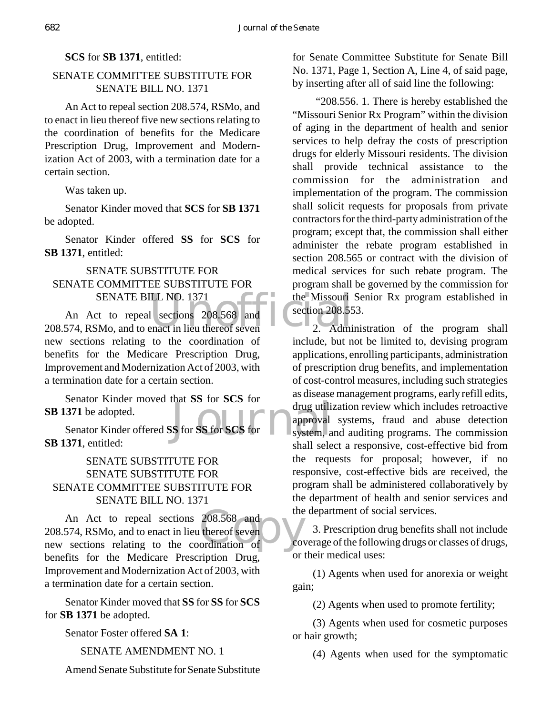# **SCS** for **SB 1371**, entitled:

# SENATE COMMITTEE SUBSTITUTE FOR SENATE BILL NO. 1371

An Act to repeal section 208.574, RSMo, and to enact in lieu thereof five new sections relating to the coordination of benefits for the Medicare Prescription Drug, Improvement and Modernization Act of 2003, with a termination date for a certain section.

Was taken up.

Senator Kinder moved that **SCS** for **SB 1371** be adopted.

Senator Kinder offered **SS** for **SCS** for **SB 1371**, entitled:

# SENATE SUBSTITUTE FOR SENATE COMMITTEE SUBSTITUTE FOR SENATE BILL NO. 1371

SENATE BILL NO. 1371 the Missouri<br>
208.574, RSMo, and to enact in lieu thereof seven 2. Admi An Act to repeal sections 208.568 and new sections relating to the coordination of benefits for the Medicare Prescription Drug, Improvement and Modernization Act of 2003, with a termination date for a certain section.

Senator Kinder moved that **SS** for **SCS** for **SB 1371** be adopted.

drug utility of the SS for SCS for the system, a system, a system, a Senator Kinder offered **SS** for **SS** for **SCS** for **SB 1371**, entitled:

# SENATE SUBSTITUTE FOR SENATE SUBSTITUTE FOR SENATE COMMITTEE SUBSTITUTE FOR SENATE BILL NO. 1371

208.568 and<br>thereof seven<br>ordination of cov An Act to repeal sections 208.568 and 208.574, RSMo, and to enact in lieu thereof seven new sections relating to the coordination of benefits for the Medicare Prescription Drug, Improvement and Modernization Act of 2003, with a termination date for a certain section.

Senator Kinder moved that **SS** for **SS** for **SCS** for **SB 1371** be adopted.

Senator Foster offered **SA 1**:

SENATE AMENDMENT NO. 1

Amend Senate Substitute for Senate Substitute

for Senate Committee Substitute for Senate Bill No. 1371, Page 1, Section A, Line 4, of said page, by inserting after all of said line the following:

 "208.556. 1. There is hereby established the "Missouri Senior Rx Program" within the division of aging in the department of health and senior services to help defray the costs of prescription drugs for elderly Missouri residents. The division shall provide technical assistance to the commission for the administration and implementation of the program. The commission shall solicit requests for proposals from private contractors for the third-party administration of the program; except that, the commission shall either administer the rebate program established in section 208.565 or contract with the division of medical services for such rebate program. The program shall be governed by the commission for the Missouri Senior Rx program established in section 208.553.

2. Administration of the program shall include, but not be limited to, devising program applications, enrolling participants, administration of prescription drug benefits, and implementation of cost-control measures, including such strategies as disease management programs, early refill edits, drug utilization review which includes retroactive approval systems, fraud and abuse detection system, and auditing programs. The commission shall select a responsive, cost-effective bid from the requests for proposal; however, if no responsive, cost-effective bids are received, the program shall be administered collaboratively by the department of health and senior services and the department of social services.

3. Prescription drug benefits shall not include coverage of the following drugs or classes of drugs, or their medical uses:

(1) Agents when used for anorexia or weight gain;

(2) Agents when used to promote fertility;

(3) Agents when used for cosmetic purposes or hair growth;

(4) Agents when used for the symptomatic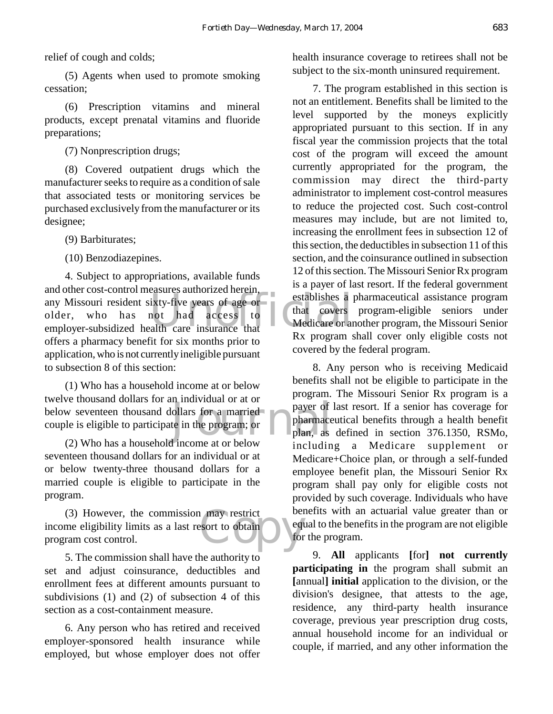(5) Agents when used to promote smoking cessation;

(6) Prescription vitamins and mineral products, except prenatal vitamins and fluoride preparations;

(7) Nonprescription drugs;

(8) Covered outpatient drugs which the manufacturer seeks to require as a condition of sale that associated tests or monitoring services be purchased exclusively from the manufacturer or its designee;

(9) Barbiturates;

(10) Benzodiazepines.

any Missouri resident sixty-five years of age or<br>older, who has not had access to<br>employer-subsidized health care insurance that Dy measure 4. Subject to appropriations, available funds and other cost-control measures authorized herein, older, who has not had access to employer-subsidized health care insurance that offers a pharmacy benefit for six months prior to application, who is not currently ineligible pursuant to subsection 8 of this section:

ollars for a married<br>te in the program; or plan, as<br>dincome at or below (1) Who has a household income at or below twelve thousand dollars for an individual or at or below seventeen thousand dollars for a married couple is eligible to participate in the program; or

(2) Who has a household income at or below seventeen thousand dollars for an individual or at or below twenty-three thousand dollars for a married couple is eligible to participate in the program.

a may restrict be been<br>sort to obtain (3) However, the commission may restrict income eligibility limits as a last resort to obtain program cost control.

5. The commission shall have the authority to set and adjust coinsurance, deductibles and enrollment fees at different amounts pursuant to subdivisions (1) and (2) of subsection 4 of this section as a cost-containment measure.

6. Any person who has retired and received employer-sponsored health insurance while employed, but whose employer does not offer health insurance coverage to retirees shall not be subject to the six-month uninsured requirement.

7. The program established in this section is not an entitlement. Benefits shall be limited to the level supported by the moneys explicitly appropriated pursuant to this section. If in any fiscal year the commission projects that the total cost of the program will exceed the amount currently appropriated for the program, the commission may direct the third-party administrator to implement cost-control measures to reduce the projected cost. Such cost-control measures may include, but are not limited to, increasing the enrollment fees in subsection 12 of this section, the deductibles in subsection 11 of this section, and the coinsurance outlined in subsection 12 of this section. The Missouri Senior Rx program is a payer of last resort. If the federal government establishes a pharmaceutical assistance program that covers program-eligible seniors under Medicare or another program, the Missouri Senior Rx program shall cover only eligible costs not covered by the federal program.

8. Any person who is receiving Medicaid benefits shall not be eligible to participate in the program. The Missouri Senior Rx program is a payer of last resort. If a senior has coverage for pharmaceutical benefits through a health benefit plan, as defined in section 376.1350, RSMo, including a Medicare supplement or Medicare+Choice plan, or through a self-funded employee benefit plan, the Missouri Senior Rx program shall pay only for eligible costs not provided by such coverage. Individuals who have benefits with an actuarial value greater than or equal to the benefits in the program are not eligible for the program.

9. **All** applicants **[**for**] not currently participating in** the program shall submit an **[**annual**] initial** application to the division, or the division's designee, that attests to the age, residence, any third-party health insurance coverage, previous year prescription drug costs, annual household income for an individual or couple, if married, and any other information the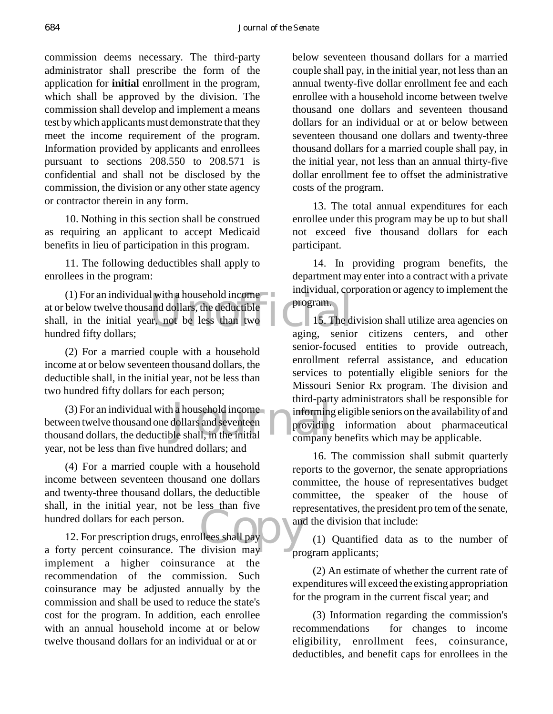commission deems necessary. The third-party administrator shall prescribe the form of the application for **initial** enrollment in the program, which shall be approved by the division. The commission shall develop and implement a means test by which applicants must demonstrate that they meet the income requirement of the program. Information provided by applicants and enrollees pursuant to sections 208.550 to 208.571 is confidential and shall not be disclosed by the commission, the division or any other state agency or contractor therein in any form.

10. Nothing in this section shall be construed as requiring an applicant to accept Medicaid benefits in lieu of participation in this program.

11. The following deductibles shall apply to enrollees in the program:

Exercise that the deductible<br>and dollars, the deductible<br>formulation of the less than two declines aging senior<br>aging senior (1) For an individual with a household income at or below twelve thousand dollars, the deductible shall, in the initial year, not be less than two hundred fifty dollars;

(2) For a married couple with a household income at or below seventeen thousand dollars, the deductible shall, in the initial year, not be less than two hundred fifty dollars for each person;

a household income<br>dollars and seventeen<br>ple shall, in the initial company (3) For an individual with a household income between twelve thousand one dollars and seventeen thousand dollars, the deductible shall, in the initial year, not be less than five hundred dollars; and

(4) For a married couple with a household income between seventeen thousand one dollars and twenty-three thousand dollars, the deductible shall, in the initial year, not be less than five hundred dollars for each person.

division may 12. For prescription drugs, enrollees shall pay a forty percent coinsurance. The division may implement a higher coinsurance at the recommendation of the commission. Such coinsurance may be adjusted annually by the commission and shall be used to reduce the state's cost for the program. In addition, each enrollee with an annual household income at or below twelve thousand dollars for an individual or at or

below seventeen thousand dollars for a married couple shall pay, in the initial year, not less than an annual twenty-five dollar enrollment fee and each enrollee with a household income between twelve thousand one dollars and seventeen thousand dollars for an individual or at or below between seventeen thousand one dollars and twenty-three thousand dollars for a married couple shall pay, in the initial year, not less than an annual thirty-five dollar enrollment fee to offset the administrative costs of the program.

13. The total annual expenditures for each enrollee under this program may be up to but shall not exceed five thousand dollars for each participant.

14. In providing program benefits, the department may enter into a contract with a private individual, corporation or agency to implement the program.

15. The division shall utilize area agencies on aging, senior citizens centers, and other senior-focused entities to provide outreach, enrollment referral assistance, and education services to potentially eligible seniors for the Missouri Senior Rx program. The division and third-party administrators shall be responsible for informing eligible seniors on the availability of and providing information about pharmaceutical company benefits which may be applicable.

16. The commission shall submit quarterly reports to the governor, the senate appropriations committee, the house of representatives budget committee, the speaker of the house of representatives, the president pro tem of the senate, and the division that include:

(1) Quantified data as to the number of program applicants;

(2) An estimate of whether the current rate of expenditures will exceed the existing appropriation for the program in the current fiscal year; and

(3) Information regarding the commission's recommendations for changes to income eligibility, enrollment fees, coinsurance, deductibles, and benefit caps for enrollees in the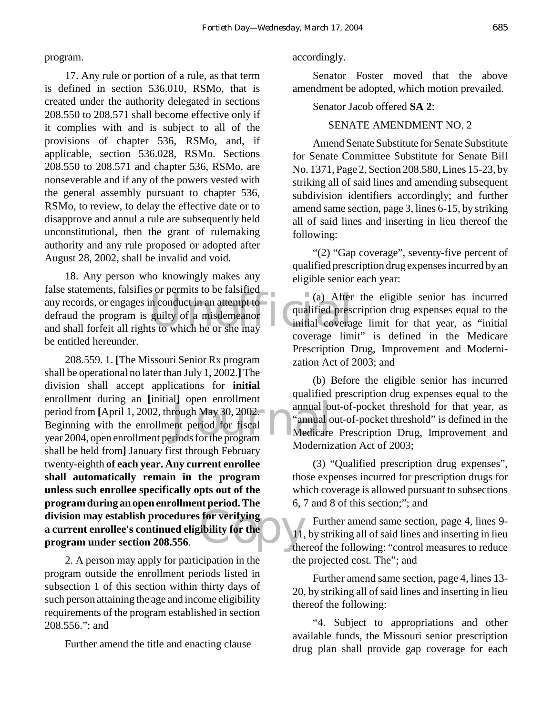#### program.

17. Any rule or portion of a rule, as that term is defined in section 536.010, RSMo, that is created under the authority delegated in sections 208.550 to 208.571 shall become effective only if it complies with and is subject to all of the provisions of chapter 536, RSMo, and, if applicable, section 536.028, RSMo. Sections 208.550 to 208.571 and chapter 536, RSMo, are nonseverable and if any of the powers vested with the general assembly pursuant to chapter 536, RSMo, to review, to delay the effective date or to disapprove and annul a rule are subsequently held unconstitutional, then the grant of rulemaking authority and any rule proposed or adopted after August 28, 2002, shall be invalid and void.

The statements, talsness of permits to be faished<br>
any records, or engages in conduct in an attempt to<br>
defraud the program is guilty of a misdemeanor<br>
and shall forfeit all rights to which he or she may 18. Any person who knowingly makes any false statements, falsifies or permits to be falsified defraud the program is guilty of a misdemeanor and shall forfeit all rights to which he or she may be entitled hereunder.

enforment during an [initial] open enforment<br>
period from [April 1, 2002, through May 30, 2002,<br>
Beginning with the enrollment period for fiscal<br>
year 2004, open enrollment periods for the program division may establish procedures for verifying<br>a current enrollee's continued eligibility for the<br>program under section 208.556. 208.559. 1. **[**The Missouri Senior Rx program shall be operational no later than July 1, 2002.**]** The division shall accept applications for **initial** enrollment during an **[**initial**]** open enrollment period from **[**April 1, 2002, through May 30, 2002. Beginning with the enrollment period for fiscal shall be held from**]** January first through February twenty-eighth **of each year. Any current enrollee shall automatically remain in the program unless such enrollee specifically opts out of the program during an open enrollment period. The a current enrollee's continued eligibility for the program under section 208.556**.

2. A person may apply for participation in the program outside the enrollment periods listed in subsection 1 of this section within thirty days of such person attaining the age and income eligibility requirements of the program established in section 208.556."; and

Further amend the title and enacting clause

### accordingly.

Senator Foster moved that the above amendment be adopted, which motion prevailed.

#### Senator Jacob offered **SA 2**:

### SENATE AMENDMENT NO. 2

Amend Senate Substitute for Senate Substitute for Senate Committee Substitute for Senate Bill No. 1371, Page 2, Section 208.580, Lines 15-23, by striking all of said lines and amending subsequent subdivision identifiers accordingly; and further amend same section, page 3, lines 6-15, by striking all of said lines and inserting in lieu thereof the following:

"(2) "Gap coverage", seventy-five percent of qualified prescription drug expenses incurred by an eligible senior each year:

(a) After the eligible senior has incurred qualified prescription drug expenses equal to the initial coverage limit for that year, as "initial coverage limit" is defined in the Medicare Prescription Drug, Improvement and Modernization Act of 2003; and

(b) Before the eligible senior has incurred qualified prescription drug expenses equal to the annual out-of-pocket threshold for that year, as "annual out-of-pocket threshold" is defined in the Medicare Prescription Drug, Improvement and Modernization Act of 2003;

(3) "Qualified prescription drug expenses", those expenses incurred for prescription drugs for which coverage is allowed pursuant to subsections 6, 7 and 8 of this section;"; and

Further amend same section, page 4, lines 9- 11, by striking all of said lines and inserting in lieu thereof the following: "control measures to reduce the projected cost. The"; and

Further amend same section, page 4, lines 13- 20, by striking all of said lines and inserting in lieu thereof the following:

"4. Subject to appropriations and other available funds, the Missouri senior prescription drug plan shall provide gap coverage for each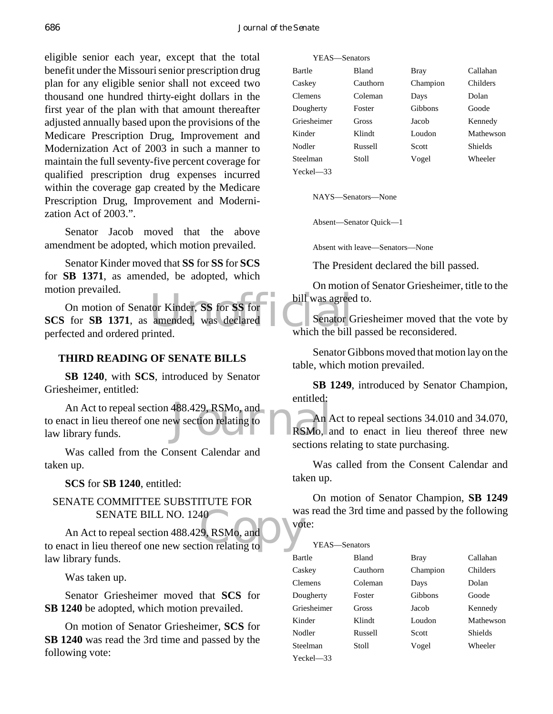eligible senior each year, except that the total benefit under the Missouri senior prescription drug plan for any eligible senior shall not exceed two thousand one hundred thirty-eight dollars in the first year of the plan with that amount thereafter adjusted annually based upon the provisions of the Medicare Prescription Drug, Improvement and Modernization Act of 2003 in such a manner to maintain the full seventy-five percent coverage for qualified prescription drug expenses incurred within the coverage gap created by the Medicare Prescription Drug, Improvement and Modernization Act of 2003.".

Senator Jacob moved that the above amendment be adopted, which motion prevailed.

Senator Kinder moved that **SS** for **SS** for **SCS** for **SB 1371**, as amended, be adopted, which motion prevailed.

tor Kinder, SS for SS for<br>
amended, was declared<br>
united<br>
which the bill<br>
which the bill On motion of Senator Kinder, **SS** for **SS** for **SCS** for **SB 1371**, as amended, was declared perfected and ordered printed.

### **THIRD READING OF SENATE BILLS**

**SB 1240**, with **SCS**, introduced by Senator Griesheimer, entitled:

488.429, RSMo, and<br>w section relating to<br>RSMo, a An Act to repeal section 488.429, RSMo, and to enact in lieu thereof one new section relating to law library funds.

Was called from the Consent Calendar and taken up.

**SCS** for **SB 1240**, entitled:

# SENATE COMMITTEE SUBSTITUTE FOR SENATE BILL NO. 1240

SENATE BILL NO. 1240<br>
An Act to repeal section 488.429, RSMo, and<br>
to enact in lieu thereof one new section relating to An Act to repeal section 488.429, RSMo, and law library funds.

Was taken up.

Senator Griesheimer moved that **SCS** for **SB 1240** be adopted, which motion prevailed.

On motion of Senator Griesheimer, **SCS** for **SB 1240** was read the 3rd time and passed by the following vote:

| YEAS—Senators  |              |          |                |
|----------------|--------------|----------|----------------|
| Bartle         | <b>Bland</b> | Bray     | Callahan       |
| Caskey         | Cauthorn     | Champion | Childers       |
| <b>Clemens</b> | Coleman      | Days     | Dolan          |
| Dougherty      | Foster       | Gibbons  | Goode          |
| Griesheimer    | Gross        | Jacob    | Kennedy        |
| Kinder         | Klindt       | Loudon   | Mathewson      |
| Nodler         | Russell      | Scott    | <b>Shields</b> |
| Steelman       | Stoll        | Vogel    | Wheeler        |
| $Yech = 33$    |              |          |                |

NAYS—Senators—None

Absent—Senator Quick—1

Absent with leave—Senators—None

The President declared the bill passed.

On motion of Senator Griesheimer, title to the bill was agreed to.

Senator Griesheimer moved that the vote by which the bill passed be reconsidered.

Senator Gibbons moved that motion lay on the table, which motion prevailed.

**SB 1249**, introduced by Senator Champion, entitled:

An Act to repeal sections 34.010 and 34.070, RSMo, and to enact in lieu thereof three new sections relating to state purchasing.

Was called from the Consent Calendar and taken up.

On motion of Senator Champion, **SB 1249** was read the 3rd time and passed by the following vote:

| YEAS—Senators  |          |             |           |
|----------------|----------|-------------|-----------|
| Bartle         | Bland    | <b>Bray</b> | Callahan  |
| Caskey         | Cauthorn | Champion    | Childers  |
| <b>Clemens</b> | Coleman  | Days        | Dolan     |
| Dougherty      | Foster   | Gibbons     | Goode     |
| Griesheimer    | Gross    | Jacob       | Kennedy   |
| Kinder         | Klindt   | Loudon      | Mathewson |
| Nodler         | Russell  | Scott       | Shields   |
| Steelman       | Stoll    | Vogel       | Wheeler   |
| Yeckel—33      |          |             |           |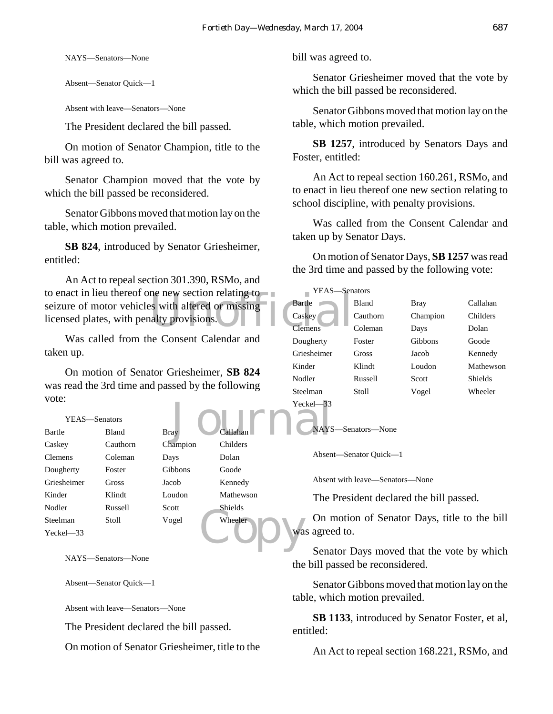NAYS—Senators—None

Absent—Senator Quick—1

Absent with leave—Senators—None

The President declared the bill passed.

On motion of Senator Champion, title to the bill was agreed to.

Senator Champion moved that the vote by which the bill passed be reconsidered.

Senator Gibbons moved that motion lay on the table, which motion prevailed.

**SB 824**, introduced by Senator Griesheimer, entitled:

to enact in lieu thereof one new section relating to<br>
seizure of motor vehicles with altered or missing-<br>
licensed plates, with penalty provisions.<br>
Clemens An Act to repeal section 301.390, RSMo, and seizure of motor vehicles with altered or missing licensed plates, with penalty provisions.

Was called from the Consent Calendar and taken up.

**Journal Market** On motion of Senator Griesheimer, **SB 824** was read the 3rd time and passed by the following vote:

| YEAS—Senators  |              |             |                |
|----------------|--------------|-------------|----------------|
| Bartle         | <b>Bland</b> | <b>Bray</b> | Callahan       |
| Caskey         | Cauthorn     | Champion    | Childers       |
| <b>Clemens</b> | Coleman      | Days        | Dolan          |
| Dougherty      | Foster       | Gibbons     | Goode          |
| Griesheimer    | Gross        | Jacob       | Kennedy        |
| Kinder         | Klindt       | Loudon      | Mathewson      |
| Nodler         | Russell      | Scott       | <b>Shields</b> |
| Steelman       | Stoll        | Vogel       | Wheeler        |
| $Yeckel$ $-33$ |              |             |                |

NAYS—Senators—None

Absent—Senator Quick—1

Absent with leave—Senators—None

The President declared the bill passed.

On motion of Senator Griesheimer, title to the

bill was agreed to.

Senator Griesheimer moved that the vote by which the bill passed be reconsidered.

Senator Gibbons moved that motion lay on the table, which motion prevailed.

**SB 1257**, introduced by Senators Days and Foster, entitled:

An Act to repeal section 160.261, RSMo, and to enact in lieu thereof one new section relating to school discipline, with penalty provisions.

Was called from the Consent Calendar and taken up by Senator Days.

On motion of Senator Days, **SB 1257** was read the 3rd time and passed by the following vote:

| YEAS-Senators  |          |             |                |
|----------------|----------|-------------|----------------|
| Bartle         | Bland    | <b>Bray</b> | Callahan       |
| Caskey         | Cauthorn | Champion    | Childers       |
| <b>Clemens</b> | Coleman  | Days        | Dolan          |
| Dougherty      | Foster   | Gibbons     | Goode          |
| Griesheimer    | Gross    | Jacob       | Kennedy        |
| Kinder         | Klindt   | Loudon      | Mathewson      |
| Nodler         | Russell  | Scott       | <b>Shields</b> |
| Steelman       | Stoll    | Vogel       | Wheeler        |
| Yeckel—33      |          |             |                |

NAYS—Senators—None

Absent—Senator Quick—1

Absent with leave—Senators—None

The President declared the bill passed.

On motion of Senator Days, title to the bill was agreed to.

Wheeler D Wa Senator Days moved that the vote by which the bill passed be reconsidered.

> Senator Gibbons moved that motion lay on the table, which motion prevailed.

> **SB 1133**, introduced by Senator Foster, et al, entitled:

An Act to repeal section 168.221, RSMo, and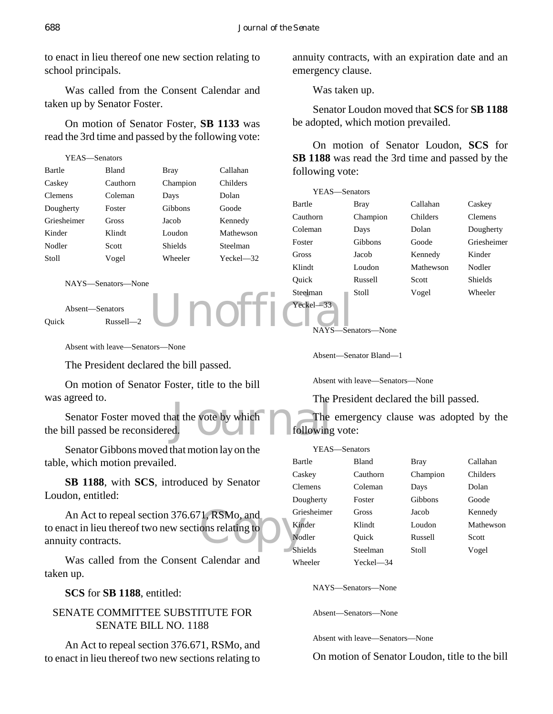to enact in lieu thereof one new section relating to school principals.

Was called from the Consent Calendar and taken up by Senator Foster.

On motion of Senator Foster, **SB 1133** was read the 3rd time and passed by the following vote:

| YEAS—Senators |              |                |               |
|---------------|--------------|----------------|---------------|
| Bartle        | <b>Bland</b> | Bray           | Callahan      |
| Caskey        | Cauthorn     | Champion       | Childers      |
| Clemens       | Coleman      | Days           | Dolan         |
| Dougherty     | Foster       | Gibbons        | Goode         |
| Griesheimer   | Gross        | Jacob          | Kennedy       |
| Kinder        | Klindt       | Loudon         | Mathewson     |
| Nodler        | Scott        | <b>Shields</b> | Steelman      |
| Stoll         | Vogel        | Wheeler        | $Yechel = 32$ |
|               |              |                |               |

```
NAYS—Senators—None
```
Absent—Senators Quick Russell—2

Absent with leave—Senators—None

The President declared the bill passed.

Unoffi

On motion of Senator Foster, title to the bill was agreed to.

at the vote by which following Senator Foster moved that the vote by which the bill passed be reconsidered.

Senator Gibbons moved that motion lay on the table, which motion prevailed.

**SB 1188**, with **SCS**, introduced by Senator Loudon, entitled:

An Act to repeal section 376.671, RSMo, and<br>act in lieu thereof two new sections relating to<br>ity contracts. to enact in lieu thereof two new sections relating to annuity contracts.

Was called from the Consent Calendar and taken up.

**SCS** for **SB 1188**, entitled:

# SENATE COMMITTEE SUBSTITUTE FOR SENATE BILL NO. 1188

An Act to repeal section 376.671, RSMo, and to enact in lieu thereof two new sections relating to annuity contracts, with an expiration date and an emergency clause.

Was taken up.

Senator Loudon moved that **SCS** for **SB 1188** be adopted, which motion prevailed.

On motion of Senator Loudon, **SCS** for **SB 1188** was read the 3rd time and passed by the following vote:

| YEAS-Senators |          |           |                |
|---------------|----------|-----------|----------------|
| Bartle        | Bray     | Callahan  | Caskey         |
| Cauthorn      | Champion | Childers  | <b>Clemens</b> |
| Coleman       | Days     | Dolan     | Dougherty      |
| Foster        | Gibbons  | Goode     | Griesheimer    |
| Gross         | Jacob    | Kennedy   | Kinder         |
| Klindt        | Loudon   | Mathewson | Nodler         |
| Ouick         | Russell  | Scott     | <b>Shields</b> |
| Steelman      | Stoll    | Vogel     | Wheeler        |
| $Yeckel - 33$ |          |           |                |

NAYS—Senators—None

Absent—Senator Bland—1

Absent with leave—Senators—None

The President declared the bill passed.

The emergency clause was adopted by the following vote:

| YEAS-Senators  |              |          |           |
|----------------|--------------|----------|-----------|
| Bartle         | <b>Bland</b> | Bray     | Callahan  |
| Caskey         | Cauthorn     | Champion | Childers  |
| <b>Clemens</b> | Coleman      | Days     | Dolan     |
| Dougherty      | Foster       | Gibbons  | Goode     |
| Griesheimer    | <b>Gross</b> | Jacob    | Kennedy   |
| Kinder         | Klindt       | Loudon   | Mathewson |
| Nodler         | Ouick        | Russell  | Scott     |
| Shields        | Steelman     | Stoll    | Vogel     |
| Wheeler        | Yeckel—34    |          |           |

NAYS—Senators—None

Absent—Senators—None

Absent with leave—Senators—None

On motion of Senator Loudon, title to the bill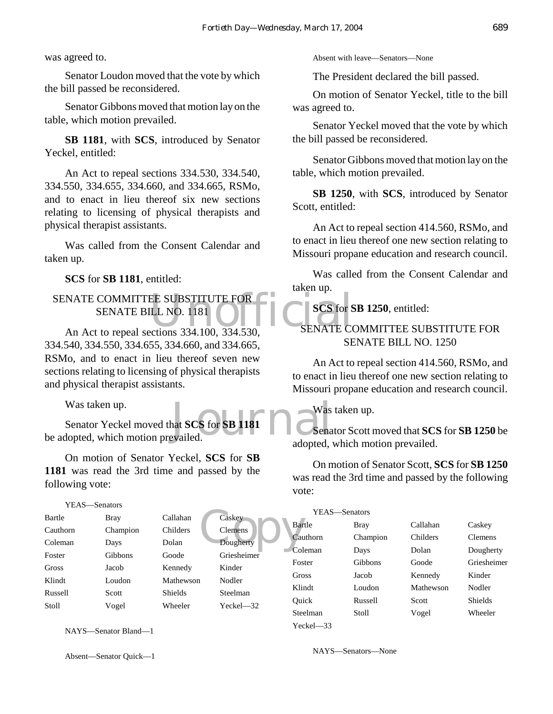was agreed to.

Senator Loudon moved that the vote by which the bill passed be reconsidered.

Senator Gibbons moved that motion lay on the table, which motion prevailed.

**SB 1181**, with **SCS**, introduced by Senator Yeckel, entitled:

An Act to repeal sections 334.530, 334.540, 334.550, 334.655, 334.660, and 334.665, RSMo, and to enact in lieu thereof six new sections relating to licensing of physical therapists and physical therapist assistants.

Was called from the Consent Calendar and taken up.

**SCS** for **SB 1181**, entitled:

# NATE COMMITTEE SUBSTITUTE FOR SENATE BILL NO. 1181<br>An Act to repeal sections 334.100, 334.530, SENATE COM SENATE COMMITTEE SUBSTITUTE FOR SENATE BILL NO. 1181

334.540, 334.550, 334.655, 334.660, and 334.665, RSMo, and to enact in lieu thereof seven new sections relating to licensing of physical therapists and physical therapist assistants.

Was taken up.

Next SCS for SB 1181<br>evailed. Senator Yeckel moved that **SCS** for **SB 1181** be adopted, which motion prevailed.

On motion of Senator Yeckel, **SCS** for **SB 1181** was read the 3rd time and passed by the following vote:

#### YEAS—Senators

| Bartle   | Bray     | Callahan       | Caskey      |
|----------|----------|----------------|-------------|
| Cauthorn | Champion | Childers       | Clemens     |
| Coleman  | Days     | Dolan          | Dougherty   |
| Foster   | Gibbons  | Goode          | Griesheimer |
| Gross    | Jacob    | Kennedy        | Kinder      |
| Klindt   | Loudon   | Mathewson      | Nodler      |
| Russell  | Scott    | <b>Shields</b> | Steelman    |
| Stoll    | Vogel    | Wheeler        | Yeckel-32   |
|          |          |                |             |

NAYS—Senator Bland—1

Absent—Senator Quick—1

Absent with leave—Senators—None

The President declared the bill passed.

On motion of Senator Yeckel, title to the bill was agreed to.

Senator Yeckel moved that the vote by which the bill passed be reconsidered.

Senator Gibbons moved that motion lay on the table, which motion prevailed.

**SB 1250**, with **SCS**, introduced by Senator Scott, entitled:

An Act to repeal section 414.560, RSMo, and to enact in lieu thereof one new section relating to Missouri propane education and research council.

Was called from the Consent Calendar and taken up.

**SCS** for **SB 1250**, entitled:

# SENATE COMMITTEE SUBSTITUTE FOR SENATE BILL NO. 1250

An Act to repeal section 414.560, RSMo, and to enact in lieu thereof one new section relating to Missouri propane education and research council.

Was taken up.

Senator Scott moved that **SCS** for **SB 1250** be adopted, which motion prevailed.

On motion of Senator Scott, **SCS** for **SB 1250** was read the 3rd time and passed by the following vote:

|                                                                            | Caskey        | YEAS—Senators |             |           |                |
|----------------------------------------------------------------------------|---------------|---------------|-------------|-----------|----------------|
| <b>Clemens</b><br>Dougherty<br>Griesheimer<br>Kinder<br>Nodler<br>Steelman |               | Bartle        | <b>Bray</b> | Callahan  | Caskey         |
|                                                                            |               | Cauthorn      | Champion    | Childers  | <b>Clemens</b> |
|                                                                            |               | Coleman       | Days        | Dolan     | Dougherty      |
|                                                                            |               | Foster        | Gibbons     | Goode     | Griesheimer    |
|                                                                            |               | Gross         | Jacob       | Kennedy   | Kinder         |
|                                                                            |               | Klindt        | Loudon      | Mathewson | Nodler         |
|                                                                            | $Yeckel - 32$ | Ouick         | Russell     | Scott     | <b>Shields</b> |
|                                                                            |               | Steelman      | Stoll       | Vogel     | Wheeler        |
|                                                                            |               | $Yech = 33$   |             |           |                |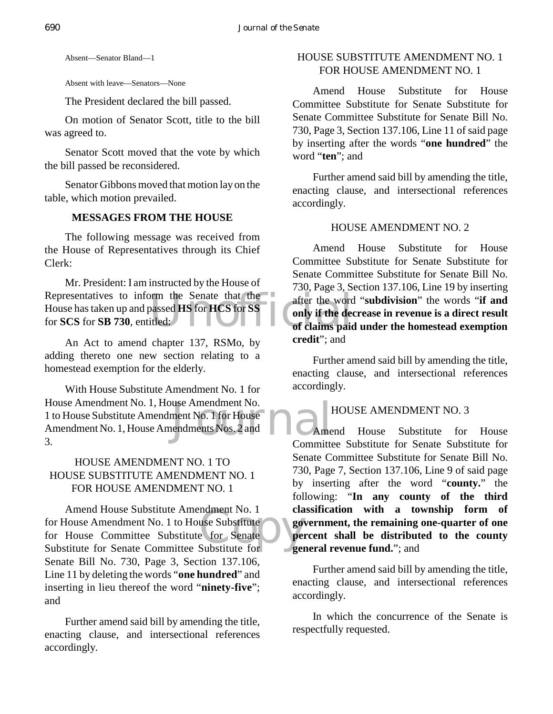Absent—Senator Bland—1

Absent with leave—Senators—None

The President declared the bill passed.

On motion of Senator Scott, title to the bill was agreed to.

Senator Scott moved that the vote by which the bill passed be reconsidered.

Senator Gibbons moved that motion lay on the table, which motion prevailed.

# **MESSAGES FROM THE HOUSE**

The following message was received from the House of Representatives through its Chief Clerk:

Representatives to inform the Senate that the after the word<br>
House has taken up and passed **HS** for **HCS** for **SS**<br>
for **SCS** for **SB** 730, entitled:<br>
of claims paid Mr. President: I am instructed by the House of House has taken up and passed **HS** for **HCS** for **SS** for **SCS** for **SB 730**, entitled:

An Act to amend chapter 137, RSMo, by adding thereto one new section relating to a homestead exemption for the elderly.

use Amendment No.<br>
ment No. 1 for House<br>
endments Nos. 2 and<br>
Committee With House Substitute Amendment No. 1 for House Amendment No. 1, House Amendment No. 1 to House Substitute Amendment No. 1 for House Amendment No. 1, House Amendments Nos. 2 and 3.

# HOUSE AMENDMENT NO. 1 TO HOUSE SUBSTITUTE AMENDMENT NO. 1 FOR HOUSE AMENDMENT NO. 1

ndment No. 1<br>
use Substitute<br>
e for Senate<br>
Substitute for Senate Amend House Substitute Amendment No. 1 for House Amendment No. 1 to House Substitute for House Committee Substitute for Senate Substitute for Senate Committee Substitute for Senate Bill No. 730, Page 3, Section 137.106, Line 11 by deleting the words "**one hundred**" and inserting in lieu thereof the word "**ninety-five**"; and

Further amend said bill by amending the title, enacting clause, and intersectional references accordingly.

# HOUSE SUBSTITUTE AMENDMENT NO. 1 FOR HOUSE AMENDMENT NO. 1

Amend House Substitute for House Committee Substitute for Senate Substitute for Senate Committee Substitute for Senate Bill No. 730, Page 3, Section 137.106, Line 11 of said page by inserting after the words "**one hundred**" the word "**ten**"; and

Further amend said bill by amending the title, enacting clause, and intersectional references accordingly.

# HOUSE AMENDMENT NO. 2

Amend House Substitute for House Committee Substitute for Senate Substitute for Senate Committee Substitute for Senate Bill No. 730, Page 3, Section 137.106, Line 19 by inserting after the word "**subdivision**" the words "**if and only if the decrease in revenue is a direct result of claims paid under the homestead exemption credit**"; and

Further amend said bill by amending the title, enacting clause, and intersectional references accordingly.

# HOUSE AMENDMENT NO. 3

Amend House Substitute for House Committee Substitute for Senate Substitute for Senate Committee Substitute for Senate Bill No. 730, Page 7, Section 137.106, Line 9 of said page by inserting after the word "**county.**" the following: "**In any county of the third classification with a township form of government, the remaining one-quarter of one percent shall be distributed to the county general revenue fund.**"; and

Further amend said bill by amending the title, enacting clause, and intersectional references accordingly.

In which the concurrence of the Senate is respectfully requested.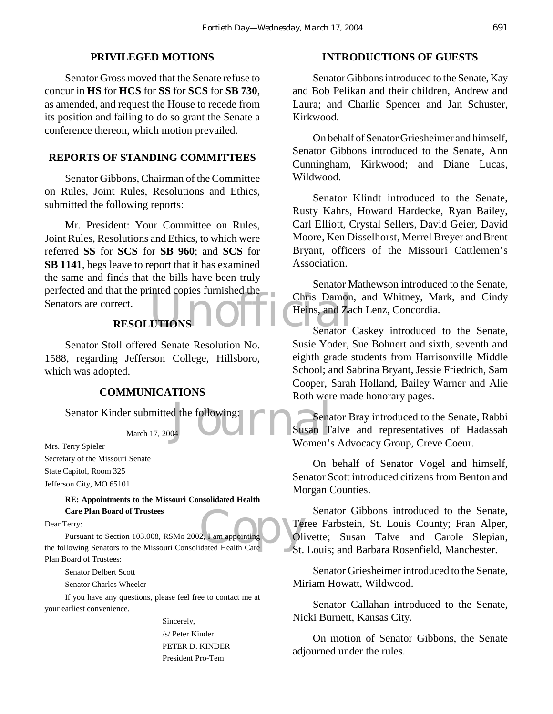#### **PRIVILEGED MOTIONS**

Senator Gross moved that the Senate refuse to concur in **HS** for **HCS** for **SS** for **SCS** for **SB 730**, as amended, and request the House to recede from its position and failing to do so grant the Senate a conference thereon, which motion prevailed.

#### **REPORTS OF STANDING COMMITTEES**

Senator Gibbons, Chairman of the Committee on Rules, Joint Rules, Resolutions and Ethics, submitted the following reports:

UTIONS No. 1 Chris Damon<br>UTIONS Senator (Reins, and Zac Mr. President: Your Committee on Rules, Joint Rules, Resolutions and Ethics, to which were referred **SS** for **SCS** for **SB 960**; and **SCS** for **SB 1141**, begs leave to report that it has examined the same and finds that the bills have been truly perfected and that the printed copies furnished the Senators are correct.

# **RESOLUTIONS**

Senator Stoll offered Senate Resolution No. 1588, regarding Jefferson College, Hillsboro, which was adopted.

### **COMMUNICATIONS**

Senator Kinder submitted the following:

March 17, 2004

Mrs. Terry Spieler Secretary of the Missouri Senate State Capitol, Room 325 Jefferson City, MO 65101

> **RE: Appointments to the Missouri Consolidated Health Care Plan Board of Trustees**

Dear Terry:

2, I am appointing<br>dated Health Care St. Pursuant to Section 103.008, RSMo 2002, I am appointing the following Senators to the Missouri Consolidated Health Care Plan Board of Trustees:

Senator Delbert Scott

Senator Charles Wheeler

If you have any questions, please feel free to contact me at your earliest convenience.

Sincerely,

/s/ Peter Kinder PETER D. KINDER President Pro-Tem

#### **INTRODUCTIONS OF GUESTS**

Senator Gibbons introduced to the Senate, Kay and Bob Pelikan and their children, Andrew and Laura; and Charlie Spencer and Jan Schuster, Kirkwood.

On behalf of Senator Griesheimer and himself, Senator Gibbons introduced to the Senate, Ann Cunningham, Kirkwood; and Diane Lucas, Wildwood.

Senator Klindt introduced to the Senate, Rusty Kahrs, Howard Hardecke, Ryan Bailey, Carl Elliott, Crystal Sellers, David Geier, David Moore, Ken Disselhorst, Merrel Breyer and Brent Bryant, officers of the Missouri Cattlemen's Association.

Senator Mathewson introduced to the Senate, Chris Damon, and Whitney, Mark, and Cindy Heins, and Zach Lenz, Concordia.

Senator Caskey introduced to the Senate, Susie Yoder, Sue Bohnert and sixth, seventh and eighth grade students from Harrisonville Middle School; and Sabrina Bryant, Jessie Friedrich, Sam Cooper, Sarah Holland, Bailey Warner and Alie Roth were made honorary pages.

d the following:<br>04 Senator Bray introduced to the Senate, Rabbi Susan Talve and representatives of Hadassah Women's Advocacy Group, Creve Coeur.

> On behalf of Senator Vogel and himself, Senator Scott introduced citizens from Benton and Morgan Counties.

Senator Gibbons introduced to the Senate, Teree Farbstein, St. Louis County; Fran Alper, Olivette; Susan Talve and Carole Slepian, St. Louis; and Barbara Rosenfield, Manchester.

Senator Griesheimer introduced to the Senate, Miriam Howatt, Wildwood.

Senator Callahan introduced to the Senate, Nicki Burnett, Kansas City.

On motion of Senator Gibbons, the Senate adjourned under the rules.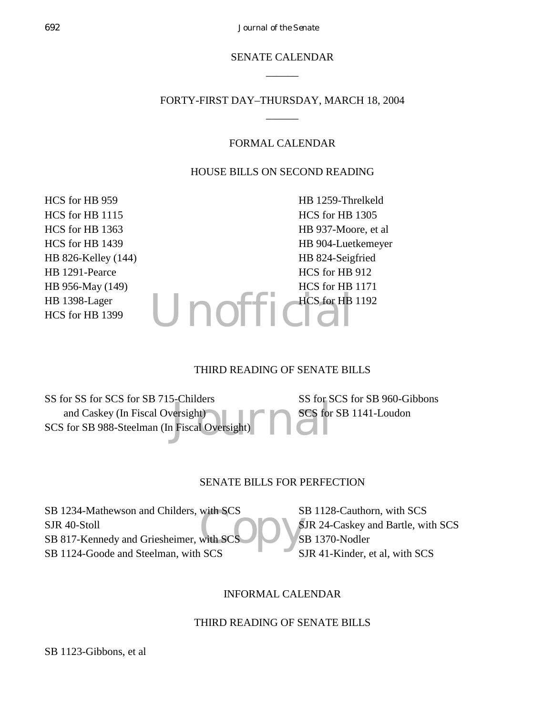# SENATE CALENDAR  $\overline{\phantom{a}}$

# FORTY-FIRST DAY–THURSDAY, MARCH 18, 2004  $\overline{\phantom{a}}$

### FORMAL CALENDAR

#### HOUSE BILLS ON SECOND READING

HCS for HB 959 HCS for HB 1115 HCS for HB 1363 HCS for HB 1439 HB 826-Kelley (144) HB 1291-Pearce HB 956-May (149) HB 1398-Lager HCS for HB 1399

 $U$ nof HB 1259-Threlkeld HCS for HB 1305 HB 937-Moore, et al HB 904-Luetkemeyer HB 824-Seigfried HCS for HB 912 HCS for HB 1171 HCS for HB 1192

#### THIRD READING OF SENATE BILLS

Persight)<br>
Persight)<br>
Piscal Oversight) SS for SS for SCS for SB 715-Childers and Caskey (In Fiscal Oversight) SCS for SB 988-Steelman (In Fiscal Oversight) SS for SCS for SB 960-Gibbons

SCS for SB 1141-Loudon

### SENATE BILLS FOR PERFECTION

with SCS<br>with SCS<br>SCS SB 1234-Mathewson and Childers, with SCS SJR 40-Stoll SB 817-Kennedy and Griesheimer, with SC SB 1124-Goode and Steelman, with SCS

SB 1128-Cauthorn, with SCS SJR 24-Caskey and Bartle, with SCS SB 1370-Nodler SJR 41-Kinder, et al, with SCS

### INFORMAL CALENDAR

### THIRD READING OF SENATE BILLS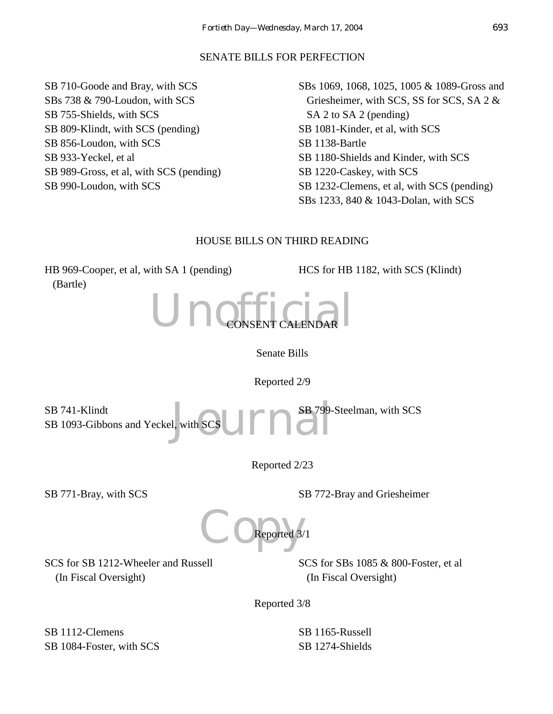# SENATE BILLS FOR PERFECTION

SB 710-Goode and Bray, with SCS SBs 738 & 790-Loudon, with SCS SB 755-Shields, with SCS SB 809-Klindt, with SCS (pending) SB 856-Loudon, with SCS SB 933-Yeckel, et al SB 989-Gross, et al, with SCS (pending) SB 990-Loudon, with SCS

SBs 1069, 1068, 1025, 1005 & 1089-Gross and Griesheimer, with SCS, SS for SCS, SA 2 & SA 2 to SA 2 (pending) SB 1081-Kinder, et al, with SCS SB 1138-Bartle SB 1180-Shields and Kinder, with SCS SB 1220-Caskey, with SCS SB 1232-Clemens, et al, with SCS (pending) SBs 1233, 840 & 1043-Dolan, with SCS

# HOUSE BILLS ON THIRD READING

HB 969-Cooper, et al, with SA 1 (pending) (Bartle)

HCS for HB 1182, with SCS (Klindt)



Senate Bills

Reported 2/9

1. with SCS COMPANY SB 799-SB 741-Klindt SB 1093-Gibbons and Yeckel, with SCS SB 799-Steelman, with SCS

Reported 2/23

SB 771-Bray, with SCS SB 772-Bray and Griesheimer

COReported 3/ Reported 3/1

SCS for SB 1212-Wheeler and Russell (In Fiscal Oversight)

SCS for SBs 1085 & 800-Foster, et al (In Fiscal Oversight)

Reported 3/8

SB 1112-Clemens SB 1084-Foster, with SCS SB 1165-Russell SB 1274-Shields